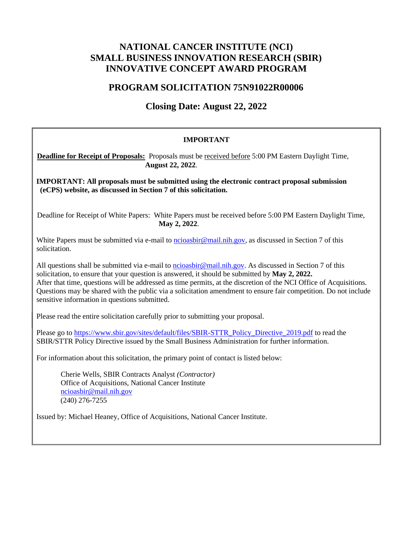# **NATIONAL CANCER INSTITUTE (NCI) SMALL BUSINESS INNOVATION RESEARCH (SBIR) INNOVATIVE CONCEPT AWARD PROGRAM**

# **PROGRAM SOLICITATION 75N91022R00006**

# **Closing Date: August 22, 2022**

### **IMPORTANT**

### **Deadline for Receipt of Proposals:** Proposals must be received before 5:00 PM Eastern Daylight Time, **August 22, 2022**.

**IMPORTANT: All proposals must be submitted using the electronic contract proposal submission (eCPS) website, as discussed in Section 7 of this solicitation.**

Deadline for Receipt of White Papers: White Papers must be received before 5:00 PM Eastern Daylight Time, **May 2, 2022**.

White Papers must be submitted via e-mail to [ncioasbir@mail.nih.gov, a](mailto:ncioasbir@mail.nih.gov)s discussed in Section 7 of this solicitation.

All questions shall be submitted via e-mail to [ncioasbir@mail.nih.gov.](mailto:ncioasbir@mail.nih.gov) As discussed in Section 7 of this solicitation, to ensure that your question is answered, it should be submitted by **May 2, 2022.** After that time, questions will be addressed as time permits, at the discretion of the NCI Office of Acquisitions. Questions may be shared with the public via a solicitation amendment to ensure fair competition. Do not include sensitive information in questions submitted.

Please read the entire solicitation carefully prior to submitting your proposal.

Please go to [https://www.sbir.gov/sites/default/files/SBIR-STTR\\_Policy\\_Directive\\_2019.pdf](https://www.sbir.gov/sites/default/files/SBIR-STTR_Policy_Directive_2019.pdf) to read the SBIR/STTR Policy Directive issued by the Small Business Administration for further information.

For information about this solicitation, the primary point of contact is listed below:

Cherie Wells, SBIR Contracts Analyst *(Contractor)* Office of Acquisitions, National Cancer Institute [ncioasbir@mail.nih.gov](mailto:ncioasbir@mail.nih.gov) (240) 276-7255

Issued by: Michael Heaney, Office of Acquisitions, National Cancer Institute.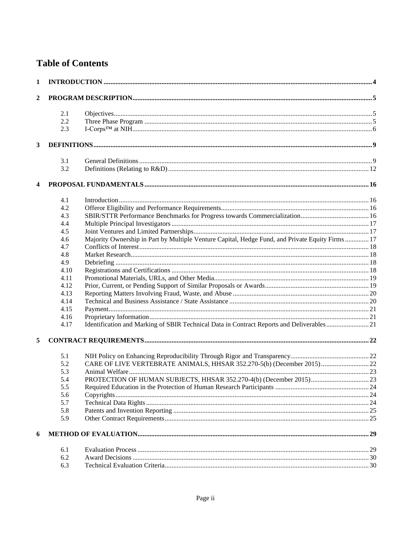# **Table of Contents**

| 1              |      |                                                                                                  |  |
|----------------|------|--------------------------------------------------------------------------------------------------|--|
| $\overline{2}$ |      |                                                                                                  |  |
|                | 2.1  |                                                                                                  |  |
|                | 2.2  |                                                                                                  |  |
|                | 2.3  |                                                                                                  |  |
| 3              |      |                                                                                                  |  |
|                | 3.1  |                                                                                                  |  |
|                | 3.2  |                                                                                                  |  |
|                |      |                                                                                                  |  |
|                | 4.1  |                                                                                                  |  |
|                | 4.2  |                                                                                                  |  |
|                | 4.3  |                                                                                                  |  |
|                | 4.4  |                                                                                                  |  |
|                | 4.5  |                                                                                                  |  |
|                | 4.6  | Majority Ownership in Part by Multiple Venture Capital, Hedge Fund, and Private Equity Firms  17 |  |
|                | 4.7  |                                                                                                  |  |
|                | 4.8  |                                                                                                  |  |
|                | 4.9  |                                                                                                  |  |
|                | 4.10 |                                                                                                  |  |
|                | 4.11 |                                                                                                  |  |
|                | 4.12 |                                                                                                  |  |
|                | 4.13 |                                                                                                  |  |
|                | 4.14 |                                                                                                  |  |
|                |      |                                                                                                  |  |
|                | 4.15 |                                                                                                  |  |
|                | 4.16 |                                                                                                  |  |
|                | 4.17 | Identification and Marking of SBIR Technical Data in Contract Reports and Deliverables 21        |  |
| 5              |      |                                                                                                  |  |
|                | 5.1  |                                                                                                  |  |
|                | 5.2  | CARE OF LIVE VERTEBRATE ANIMALS, HHSAR 352.270-5(b) (December 2015) 22                           |  |
|                | 5.3  |                                                                                                  |  |
|                | 5.4  |                                                                                                  |  |
|                | 5.5  |                                                                                                  |  |
|                | 5.6  |                                                                                                  |  |
|                | 5.7  |                                                                                                  |  |
|                | 5.8  |                                                                                                  |  |
|                | 5.9  |                                                                                                  |  |
| 6              |      |                                                                                                  |  |
|                | 6.1  |                                                                                                  |  |
|                | 6.2  |                                                                                                  |  |
|                | 6.3  |                                                                                                  |  |
|                |      |                                                                                                  |  |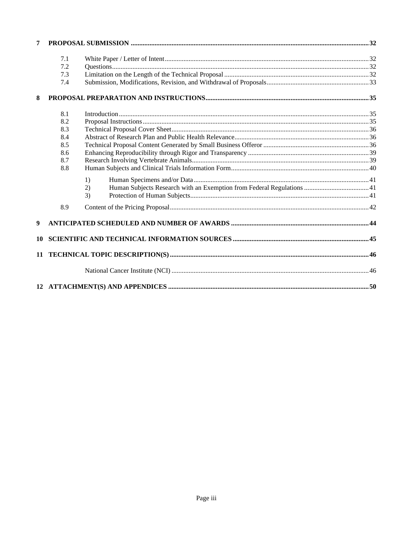| 7                |     |                  |  |
|------------------|-----|------------------|--|
|                  | 7.1 |                  |  |
|                  | 7.2 |                  |  |
|                  | 7.3 |                  |  |
|                  | 7.4 |                  |  |
| 8                |     |                  |  |
|                  | 8.1 | Introduction 135 |  |
|                  | 8.2 |                  |  |
|                  | 8.3 |                  |  |
|                  | 8.4 |                  |  |
|                  | 8.5 |                  |  |
|                  | 8.6 |                  |  |
|                  | 8.7 |                  |  |
|                  | 8.8 |                  |  |
|                  |     | 1)               |  |
|                  |     | 2)               |  |
|                  |     | 3)               |  |
|                  | 8.9 |                  |  |
| $\boldsymbol{9}$ |     |                  |  |
| 10               |     |                  |  |
|                  |     |                  |  |
|                  |     |                  |  |
|                  |     |                  |  |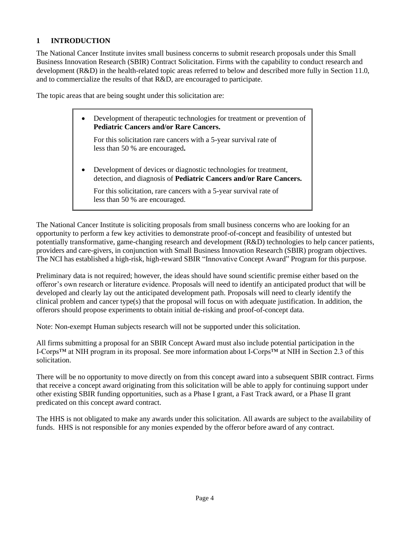# <span id="page-3-0"></span>**1 INTRODUCTION**

The National Cancer Institute invites small business concerns to submit research proposals under this Small Business Innovation Research (SBIR) Contract Solicitation. Firms with the capability to conduct research and development (R&D) in the health-related topic areas referred to below and described more fully in Section 11.0, and to commercialize the results of that R&D, are encouraged to participate.

The topic areas that are being sought under this solicitation are:

• Development of therapeutic technologies for treatment or prevention of **Pediatric Cancers and/or Rare Cancers.** For this solicitation rare cancers with a 5-year survival rate of less than 50 % are encouraged**.** • Development of devices or diagnostic technologies for treatment, detection, and diagnosis of **Pediatric Cancers and/or Rare Cancers.** For this solicitation, rare cancers with a 5-year survival rate of less than 50 % are encouraged.

The National Cancer Institute is soliciting proposals from small business concerns who are looking for an opportunity to perform a few key activities to demonstrate proof-of-concept and feasibility of untested but potentially transformative, game-changing research and development (R&D) technologies to help cancer patients, providers and care-givers, in conjunction with Small Business Innovation Research (SBIR) program objectives. The NCI has established a high-risk, high-reward SBIR "Innovative Concept Award" Program for this purpose.

Preliminary data is not required; however, the ideas should have sound scientific premise either based on the offeror's own research or literature evidence. Proposals will need to identify an anticipated product that will be developed and clearly lay out the anticipated development path. Proposals will need to clearly identify the clinical problem and cancer type(s) that the proposal will focus on with adequate justification. In addition, the offerors should propose experiments to obtain initial de-risking and proof-of-concept data.

Note: Non-exempt Human subjects research will not be supported under this solicitation.

All firms submitting a proposal for an SBIR Concept Award must also include potential participation in the I-Corps™ at NIH program in its proposal. See more information about I-Corps™ at NIH in Section 2.3 of this solicitation.

There will be no opportunity to move directly on from this concept award into a subsequent SBIR contract. Firms that receive a concept award originating from this solicitation will be able to apply for continuing support under other existing SBIR funding opportunities, such as a Phase I grant, a Fast Track award, or a Phase II grant predicated on this concept award contract.

The HHS is not obligated to make any awards under this solicitation. All awards are subject to the availability of funds. HHS is not responsible for any monies expended by the offeror before award of any contract.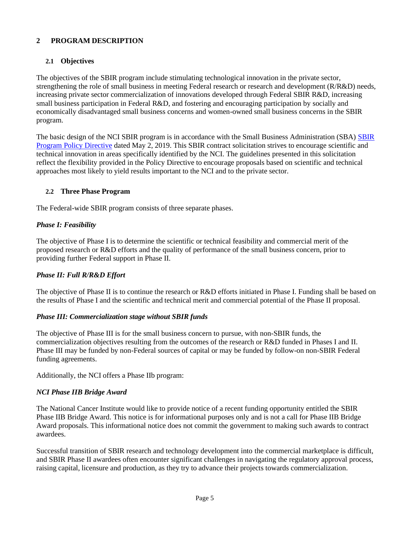# <span id="page-4-0"></span>**2 PROGRAM DESCRIPTION**

### <span id="page-4-1"></span>**2.1 Objectives**

The objectives of the SBIR program include stimulating technological innovation in the private sector, strengthening the role of small business in meeting Federal research or research and development (R/R&D) needs, increasing private sector commercialization of innovations developed through Federal SBIR R&D, increasing small business participation in Federal R&D, and fostering and encouraging participation by socially and economically disadvantaged small business concerns and women-owned small business concerns in the SBIR program.

The basic design of the NCI SBIR program is in accordance with the Small Business Administration (SBA) [SBIR](https://www.sbir.gov/sites/default/files/SBIR-STTR_Policy_Directive_2019.pdf) [Program Policy Directive](https://www.sbir.gov/sites/default/files/SBIR-STTR_Policy_Directive_2019.pdf) dated May 2, 2019. This SBIR contract solicitation strives to encourage scientific and technical innovation in areas specifically identified by the NCI. The guidelines presented in this solicitation reflect the flexibility provided in the Policy Directive to encourage proposals based on scientific and technical approaches most likely to yield results important to the NCI and to the private sector.

### <span id="page-4-2"></span>**2.2 Three Phase Program**

The Federal-wide SBIR program consists of three separate phases.

### *Phase I: Feasibility*

The objective of Phase I is to determine the scientific or technical feasibility and commercial merit of the proposed research or R&D efforts and the quality of performance of the small business concern, prior to providing further Federal support in Phase II.

### *Phase II: Full R/R&D Effort*

The objective of Phase II is to continue the research or R&D efforts initiated in Phase I. Funding shall be based on the results of Phase I and the scientific and technical merit and commercial potential of the Phase II proposal.

#### *Phase III: Commercialization stage without SBIR funds*

The objective of Phase III is for the small business concern to pursue, with non-SBIR funds, the commercialization objectives resulting from the outcomes of the research or R&D funded in Phases I and II. Phase III may be funded by non-Federal sources of capital or may be funded by follow-on non-SBIR Federal funding agreements.

Additionally, the NCI offers a Phase IIb program:

#### *NCI Phase IIB Bridge Award*

The National Cancer Institute would like to provide notice of a recent funding opportunity entitled the SBIR Phase IIB Bridge Award. This notice is for informational purposes only and is not a call for Phase IIB Bridge Award proposals. This informational notice does not commit the government to making such awards to contract awardees.

Successful transition of SBIR research and technology development into the commercial marketplace is difficult, and SBIR Phase II awardees often encounter significant challenges in navigating the regulatory approval process, raising capital, licensure and production, as they try to advance their projects towards commercialization.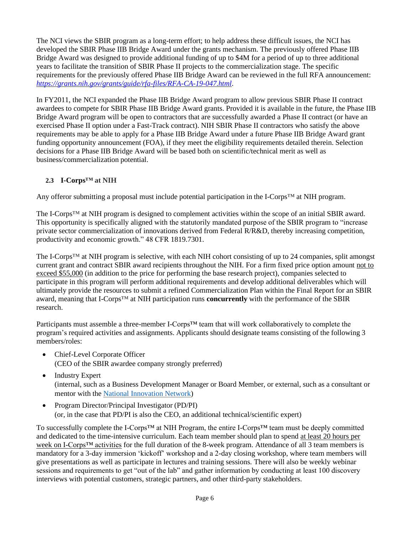The NCI views the SBIR program as a long-term effort; to help address these difficult issues, the NCI has developed the SBIR Phase IIB Bridge Award under the grants mechanism. The previously offered Phase IIB Bridge Award was designed to provide additional funding of up to \$4M for a period of up to three additional years to facilitate the transition of SBIR Phase II projects to the commercialization stage. The specific requirements for the previously offered Phase IIB Bridge Award can be reviewed in the full RFA announcement: *<https://grants.nih.gov/grants/guide/rfa-files/RFA-CA-19-047.html>*.

In FY2011, the NCI expanded the Phase IIB Bridge Award program to allow previous SBIR Phase II contract awardees to compete for SBIR Phase IIB Bridge Award grants. Provided it is available in the future, the Phase IIB Bridge Award program will be open to contractors that are successfully awarded a Phase II contract (or have an exercised Phase II option under a Fast-Track contract). NIH SBIR Phase II contractors who satisfy the above requirements may be able to apply for a Phase IIB Bridge Award under a future Phase IIB Bridge Award grant funding opportunity announcement (FOA), if they meet the eligibility requirements detailed therein. Selection decisions for a Phase IIB Bridge Award will be based both on scientific/technical merit as well as business/commercialization potential.

# <span id="page-5-0"></span>**2.3 I-Corps™ at NIH**

Any offeror submitting a proposal must include potential participation in the I-Corps™ at NIH program.

The I-Corps™ at NIH program is designed to complement activities within the scope of an initial SBIR award. This opportunity is specifically aligned with the statutorily mandated purpose of the SBIR program to "increase private sector commercialization of innovations derived from Federal R/R&D, thereby increasing competition, productivity and economic growth." 48 CFR 1819.7301.

The I-Corps™ at NIH program is selective, with each NIH cohort consisting of up to 24 companies, split amongst current grant and contract SBIR award recipients throughout the NIH. For a firm fixed price option amount not to exceed \$55,000 (in addition to the price for performing the base research project), companies selected to participate in this program will perform additional requirements and develop additional deliverables which will ultimately provide the resources to submit a refined Commercialization Plan within the Final Report for an SBIR award, meaning that I-Corps™ at NIH participation runs **concurrently** with the performance of the SBIR research.

Participants must assemble a three-member I-Corps™ team that will work collaboratively to complete the program's required activities and assignments. Applicants should designate teams consisting of the following 3 members/roles:

- Chief-Level Corporate Officer (CEO of the SBIR awardee company strongly preferred)
- Industry Expert (internal, such as a Business Development Manager or Board Member, or external, such as a consultant or mentor with the National [Innovation Network\)](https://venturewell.org/i-corps/nih/)
- Program Director/Principal Investigator (PD/PI) (or, in the case that PD/PI is also the CEO, an additional technical/scientific expert)

To successfully complete the I-Corps™ at NIH Program, the entire I-Corps™ team must be deeply committed and dedicated to the time-intensive curriculum. Each team member should plan to spend at least 20 hours per week on I-Corps™ activities for the full duration of the 8-week program. Attendance of all 3 team members is mandatory for a 3-day immersion 'kickoff' workshop and a 2-day closing workshop, where team members will give presentations as well as participate in lectures and training sessions. There will also be weekly webinar sessions and requirements to get "out of the lab" and gather information by conducting at least 100 discovery interviews with potential customers, strategic partners, and other third-party stakeholders.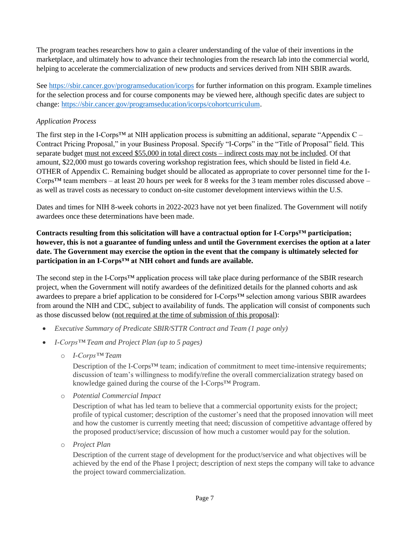The program teaches researchers how to gain a clearer understanding of the value of their inventions in the marketplace, and ultimately how to advance their technologies from the research lab into the commercial world, helping to accelerate the commercialization of new products and services derived from NIH SBIR awards.

See<https://sbir.cancer.gov/programseducation/icorps> for further information on this program. Example timelines for the selection process and for course components may be viewed here, although specific dates are subject to change: [https://sbir.cancer.gov/programseducation/icorps/cohortcurriculum.](https://sbir.cancer.gov/programseducation/icorps/cohortcurriculum)

### *Application Process*

The first step in the I-Corps<sup>TM</sup> at NIH application process is submitting an additional, separate "Appendix  $C -$ Contract Pricing Proposal," in your Business Proposal. Specify "I-Corps" in the "Title of Proposal" field. This separate budget must not exceed \$55,000 in total direct costs – indirect costs may not be included. Of that amount, \$22,000 must go towards covering workshop registration fees, which should be listed in field 4.e. OTHER of Appendix C. Remaining budget should be allocated as appropriate to cover personnel time for the I-Corps<sup>TM</sup> team members – at least 20 hours per week for 8 weeks for the 3 team member roles discussed above – as well as travel costs as necessary to conduct on-site customer development interviews within the U.S.

Dates and times for NIH 8-week cohorts in 2022-2023 have not yet been finalized. The Government will notify awardees once these determinations have been made.

### **Contracts resulting from this solicitation will have a contractual option for I-Corps™ participation; however, this is not a guarantee of funding unless and until the Government exercises the option at a later date. The Government may exercise the option in the event that the company is ultimately selected for participation in an I-Corps™ at NIH cohort and funds are available.**

The second step in the I-Corps™ application process will take place during performance of the SBIR research project, when the Government will notify awardees of the definitized details for the planned cohorts and ask awardees to prepare a brief application to be considered for I-Corps™ selection among various SBIR awardees from around the NIH and CDC, subject to availability of funds. The application will consist of components such as those discussed below (not required at the time of submission of this proposal):

- *Executive Summary of Predicate SBIR/STTR Contract and Team (1 page only)*
- *I-Corps™ Team and Project Plan (up to 5 pages)*
	- o *I-Corps™ Team*

Description of the I-Corps<sup>TM</sup> team; indication of commitment to meet time-intensive requirements; discussion of team's willingness to modify/refine the overall commercialization strategy based on knowledge gained during the course of the I-Corps™ Program.

o *Potential Commercial Impact*

Description of what has led team to believe that a commercial opportunity exists for the project; profile of typical customer; description of the customer's need that the proposed innovation will meet and how the customer is currently meeting that need; discussion of competitive advantage offered by the proposed product/service; discussion of how much a customer would pay for the solution.

o *Project Plan*

Description of the current stage of development for the product/service and what objectives will be achieved by the end of the Phase I project; description of next steps the company will take to advance the project toward commercialization.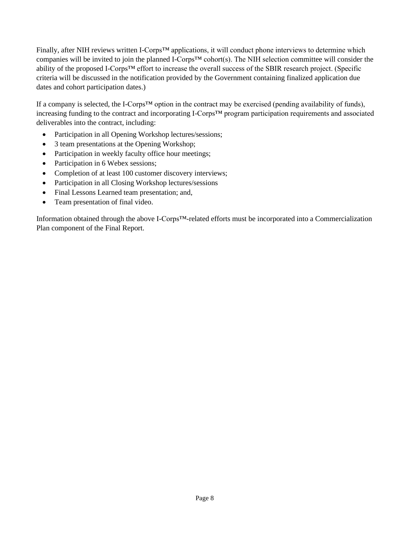Finally, after NIH reviews written I-Corps™ applications, it will conduct phone interviews to determine which companies will be invited to join the planned I-Corps™ cohort(s). The NIH selection committee will consider the ability of the proposed I-Corps™ effort to increase the overall success of the SBIR research project. (Specific criteria will be discussed in the notification provided by the Government containing finalized application due dates and cohort participation dates.)

If a company is selected, the I-Corps<sup>TM</sup> option in the contract may be exercised (pending availability of funds), increasing funding to the contract and incorporating I-Corps™ program participation requirements and associated deliverables into the contract, including:

- Participation in all Opening Workshop lectures/sessions;
- 3 team presentations at the Opening Workshop;
- Participation in weekly faculty office hour meetings;
- Participation in 6 Webex sessions;
- Completion of at least 100 customer discovery interviews;
- Participation in all Closing Workshop lectures/sessions
- Final Lessons Learned team presentation; and,
- Team presentation of final video.

Information obtained through the above I-Corps™-related efforts must be incorporated into a Commercialization Plan component of the Final Report.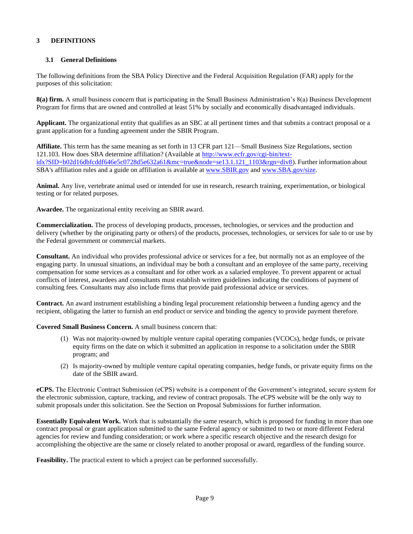#### <span id="page-8-0"></span>**3 DEFINITIONS**

#### <span id="page-8-1"></span>**3.1 General Definitions**

The following definitions from the SBA Policy Directive and the Federal Acquisition Regulation (FAR) apply for the purposes of this solicitation:

**8(a) firm.** A small business concern that is participating in the Small Business Administration's 8(a) Business Development Program for firms that are owned and controlled at least 51% by socially and economically disadvantaged individuals.

**Applicant.** The organizational entity that qualifies as an SBC at all pertinent times and that submits a contract proposal or a grant application for a funding agreement under the SBIR Program.

**Affiliate.** This term has the same meaning as set forth in 13 CFR part 121—Small Business Size Regulations, section 121.103. How does SBA determine affiliation? (Available at [http://www.ecfr.gov/cgi-bin/text](http://www.ecfr.gov/cgi-bin/text-idx?SID=b02d16dbfcddf646e5c0728d5e632a61&mc=true&node=se13.1.121_1103&rgn=div8)[idx?SID=b02d16dbfcddf646e5c0728d5e632a61&mc=true&node=se13.1.121\\_1103&rgn=div8\)](http://www.ecfr.gov/cgi-bin/text-idx?SID=b02d16dbfcddf646e5c0728d5e632a61&mc=true&node=se13.1.121_1103&rgn=div8). Further information about SBA's affiliation rules and a guide on affiliation is available at [www.SBIR.gov](https://www.sbir.gov/) and [www.SBA.gov/size.](http://www.sba.gov/size)

**Animal.** Any live, vertebrate animal used or intended for use in research, research training, experimentation, or biological testing or for related purposes.

**Awardee.** The organizational entity receiving an SBIR award.

**Commercialization.** The process of developing products, processes, technologies, or services and the production and delivery (whether by the originating party or others) of the products, processes, technologies, or services for sale to or use by the Federal government or commercial markets.

**Consultant.** An individual who provides professional advice or services for a fee, but normally not as an employee of the engaging party. In unusual situations, an individual may be both a consultant and an employee of the same party, receiving compensation for some services as a consultant and for other work as a salaried employee. To prevent apparent or actual conflicts of interest, awardees and consultants must establish written guidelines indicating the conditions of payment of consulting fees. Consultants may also include firms that provide paid professional advice or services.

**Contract.** An award instrument establishing a binding legal procurement relationship between a funding agency and the recipient, obligating the latter to furnish an end product or service and binding the agency to provide payment therefore.

**Covered Small Business Concern.** A small business concern that:

- (1) Was not majority-owned by multiple venture capital operating companies (VCOCs), hedge funds, or private equity firms on the date on which it submitted an application in response to a solicitation under the SBIR program; and
- (2) Is majority-owned by multiple venture capital operating companies, hedge funds, or private equity firms on the date of the SBIR award.

**eCPS.** The Electronic Contract Submission (eCPS) website is a component of the Government's integrated, secure system for the electronic submission, capture, tracking, and review of contract proposals. The eCPS website will be the only way to submit proposals under this solicitation. See the Section on Proposal Submissions for further information.

**Essentially Equivalent Work.** Work that is substantially the same research, which is proposed for funding in more than one contract proposal or grant application submitted to the same Federal agency or submitted to two or more different Federal agencies for review and funding consideration; or work where a specific research objective and the research design for accomplishing the objective are the same or closely related to another proposal or award, regardless of the funding source.

**Feasibility.** The practical extent to which a project can be performed successfully.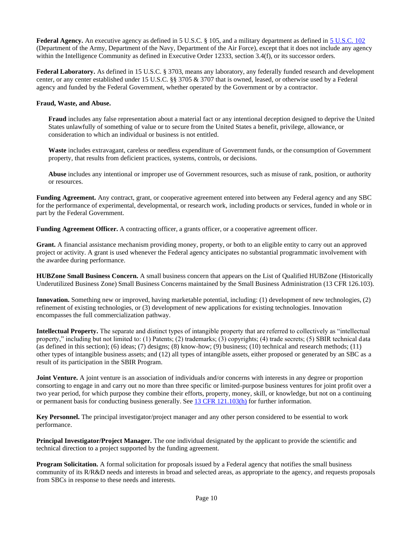**Federal Agency.** An executive agency as defined in 5 U.S.C. § 105, and a military department as defined in [5 U.S.C. 102](http://www.gpo.gov/fdsys/granule/USCODE-2011-title5/USCODE-2011-title5-partI-chap1-sec102/content-detail.html) (Department of the Army, Department of the Navy, Department of the Air Force), except that it does not include any agency within the Intelligence Community as defined in Executive Order 12333, section 3.4(f), or its successor orders.

**Federal Laboratory.** As defined in 15 U.S.C. § 3703, means any laboratory, any federally funded research and development center, or any center established under 15 U.S.C. §§ 3705 & 3707 that is owned, leased, or otherwise used by a Federal agency and funded by the Federal Government, whether operated by the Government or by a contractor.

#### **Fraud, Waste, and Abuse.**

**Fraud** includes any false representation about a material fact or any intentional deception designed to deprive the United States unlawfully of something of value or to secure from the United States a benefit, privilege, allowance, or consideration to which an individual or business is not entitled.

**Waste** includes extravagant, careless or needless expenditure of Government funds, or the consumption of Government property, that results from deficient practices, systems, controls, or decisions.

**Abuse** includes any intentional or improper use of Government resources, such as misuse of rank, position, or authority or resources.

**Funding Agreement.** Any contract, grant, or cooperative agreement entered into between any Federal agency and any SBC for the performance of experimental, developmental, or research work, including products or services, funded in whole or in part by the Federal Government.

**Funding Agreement Officer.** A contracting officer, a grants officer, or a cooperative agreement officer.

**Grant.** A financial assistance mechanism providing money, property, or both to an eligible entity to carry out an approved project or activity. A grant is used whenever the Federal agency anticipates no substantial programmatic involvement with the awardee during performance.

**HUBZone Small Business Concern.** A small business concern that appears on the List of Qualified HUBZone (Historically Underutilized Business Zone) Small Business Concerns maintained by the Small Business Administration (13 CFR 126.103).

**Innovation.** Something new or improved, having marketable potential, including: (1) development of new technologies, (2) refinement of existing technologies, or (3) development of new applications for existing technologies. Innovation encompasses the full commercialization pathway.

**Intellectual Property.** The separate and distinct types of intangible property that are referred to collectively as "intellectual property," including but not limited to: (1) Patents; (2) trademarks; (3) copyrights; (4) trade secrets; (5) SBIR technical data (as defined in this section); (6) ideas; (7) designs; (8) know-how; (9) business; (10) technical and research methods; (11) other types of intangible business assets; and (12) all types of intangible assets, either proposed or generated by an SBC as a result of its participation in the SBIR Program.

**Joint Venture.** A joint venture is an association of individuals and/or concerns with interests in any degree or proportion consorting to engage in and carry out no more than three specific or limited-purpose business ventures for joint profit over a two year period, for which purpose they combine their efforts, property, money, skill, or knowledge, but not on a continuing or permanent basis for conducting business generally. See 13 CFR [121.103\(h\)](http://www.ecfr.gov/cgi-bin/text-idx?SID=fc49fc7e1268cd0891cc2dde9abe523f&mc=true&node=se13.1.121_1103&rgn=div8) for further information.

**Key Personnel.** The principal investigator/project manager and any other person considered to be essential to work performance.

**Principal Investigator/Project Manager.** The one individual designated by the applicant to provide the scientific and technical direction to a project supported by the funding agreement.

**Program Solicitation.** A formal solicitation for proposals issued by a Federal agency that notifies the small business community of its R/R&D needs and interests in broad and selected areas, as appropriate to the agency, and requests proposals from SBCs in response to these needs and interests.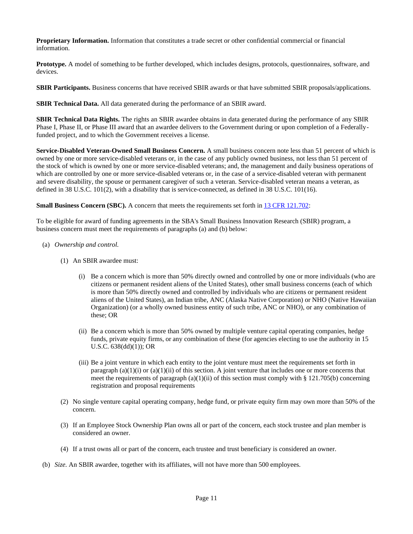**Proprietary Information.** Information that constitutes a trade secret or other confidential commercial or financial information.

**Prototype.** A model of something to be further developed, which includes designs, protocols, questionnaires, software, and devices.

**SBIR Participants.** Business concerns that have received SBIR awards or that have submitted SBIR proposals/applications.

**SBIR Technical Data.** All data generated during the performance of an SBIR award.

**SBIR Technical Data Rights.** The rights an SBIR awardee obtains in data generated during the performance of any SBIR Phase I, Phase II, or Phase III award that an awardee delivers to the Government during or upon completion of a Federallyfunded project, and to which the Government receives a license.

**Service-Disabled Veteran-Owned Small Business Concern.** A small business concern note less than 51 percent of which is owned by one or more service-disabled veterans or, in the case of any publicly owned business, not less than 51 percent of the stock of which is owned by one or more service-disabled veterans; and, the management and daily business operations of which are controlled by one or more service-disabled veterans or, in the case of a service-disabled veteran with permanent and severe disability, the spouse or permanent caregiver of such a veteran. Service-disabled veteran means a veteran, as defined in 38 U.S.C. 101(2), with a disability that is service-connected, as defined in 38 U.S.C. 101(16).

**Small Business Concern (SBC).** A concern that meets the requirements set forth in 13 CFR [121.702:](http://www.ecfr.gov/cgi-bin/text-idx?SID=ddf55574cd923f5ebaefd02bf517d956&mc=true&node=se13.1.121_1702&rgn=div8)

To be eligible for award of funding agreements in the SBA's Small Business Innovation Research (SBIR) program, a business concern must meet the requirements of paragraphs (a) and (b) below:

- (a) *Ownership and control.*
	- (1) An SBIR awardee must:
		- (i) Be a concern which is more than 50% directly owned and controlled by one or more individuals (who are citizens or permanent resident aliens of the United States), other small business concerns (each of which is more than 50% directly owned and controlled by individuals who are citizens or permanent resident aliens of the United States), an Indian tribe, ANC (Alaska Native Corporation) or NHO (Native Hawaiian Organization) (or a wholly owned business entity of such tribe, ANC or NHO), or any combination of these; OR
		- (ii) Be a concern which is more than 50% owned by multiple venture capital operating companies, hedge funds, private equity firms, or any combination of these (for agencies electing to use the authority in 15 U.S.C. 638(dd)(1)); OR
		- (iii) Be a joint venture in which each entity to the joint venture must meet the requirements set forth in paragraph  $(a)(1)(i)$  or  $(a)(1)(ii)$  of this section. A joint venture that includes one or more concerns that meet the requirements of paragraph (a)(1)(ii) of this section must comply with  $\S$  121.705(b) concerning registration and proposal requirements
	- (2) No single venture capital operating company, hedge fund, or private equity firm may own more than 50% of the concern.
	- (3) If an Employee Stock Ownership Plan owns all or part of the concern, each stock trustee and plan member is considered an owner.
	- (4) If a trust owns all or part of the concern, each trustee and trust beneficiary is considered an owner.
- (b) *Size.* An SBIR awardee, together with its affiliates, will not have more than 500 employees.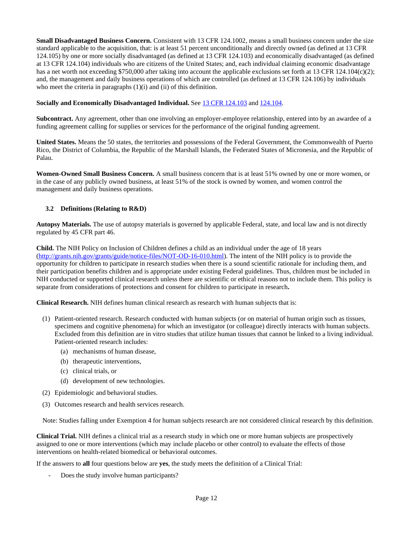**Small Disadvantaged Business Concern.** Consistent with 13 CFR 124.1002, means a small business concern under the size standard applicable to the acquisition, that: is at least 51 percent unconditionally and directly owned (as defined at 13 CFR 124.105) by one or more socially disadvantaged (as defined at 13 CFR 124.103) and economically disadvantaged (as defined at 13 CFR 124.104) individuals who are citizens of the United States; and, each individual claiming economic disadvantage has a net worth not exceeding \$750,000 after taking into account the applicable exclusions set forth at 13 CFR 124.104(c)(2); and, the management and daily business operations of which are controlled (as defined at 13 CFR 124.106) by individuals who meet the criteria in paragraphs  $(1)(i)$  and  $(ii)$  of this definition.

#### **Socially and Economically Disadvantaged Individual.** See 13 CFR [124.103](http://www.ecfr.gov/cgi-bin/text-idx?SID=ddf55574cd923f5ebaefd02bf517d956&mc=true&node=se13.1.124_1103&rgn=div8) and [124.104.](http://www.ecfr.gov/cgi-bin/text-idx?SID=ddf55574cd923f5ebaefd02bf517d956&mc=true&node=se13.1.124_1104&rgn=div8)

**Subcontract.** Any agreement, other than one involving an employer-employee relationship, entered into by an awardee of a funding agreement calling for supplies or services for the performance of the original funding agreement.

**United States.** Means the 50 states, the territories and possessions of the Federal Government, the Commonwealth of Puerto Rico, the District of Columbia, the Republic of the Marshall Islands, the Federated States of Micronesia, and the Republic of Palau.

**Women-Owned Small Business Concern.** A small business concern that is at least 51% owned by one or more women, or in the case of any publicly owned business, at least 51% of the stock is owned by women, and women control the management and daily business operations.

#### <span id="page-11-0"></span>**3.2 Definitions (Relating to R&D)**

**Autopsy Materials.** The use of autopsy materials is governed by applicable Federal, state, and local law and is not directly regulated by 45 CFR part 46.

**Child.** The NIH Policy on Inclusion of Children defines a child as an individual under the age of 18 years [\(http://grants.nih.gov/grants/guide/notice-files/NOT-OD-16-010.html\)](http://grants.nih.gov/grants/guide/notice-files/NOT-OD-16-010.html). The intent of the NIH policy is to provide the opportunity for children to participate in research studies when there is a sound scientific rationale for including them, and their participation benefits children and is appropriate under existing Federal guidelines. Thus, children must be included in NIH conducted or supported clinical research unless there are scientific or ethical reasons not to include them. This policy is separate from considerations of protections and consent for children to participate in research**.**

**Clinical Research.** NIH defines human clinical research as research with human subjects that is:

- (1) Patient-oriented research. Research conducted with human subjects (or on material of human origin such as tissues, specimens and cognitive phenomena) for which an investigator (or colleague) directly interacts with human subjects. Excluded from this definition are in vitro studies that utilize human tissues that cannot be linked to a living individual. Patient-oriented research includes:
	- (a) mechanisms of human disease,
	- (b) therapeutic interventions,
	- (c) clinical trials, or
	- (d) development of new technologies.
- (2) Epidemiologic and behavioral studies.
- (3) Outcomes research and health services research.

Note: Studies falling under Exemption 4 for human subjects research are not considered clinical research by this definition.

**Clinical Trial.** NIH defines a clinical trial as a research study in which one or more human subjects are prospectively assigned to one or more interventions (which may include placebo or other control) to evaluate the effects of those interventions on health-related biomedical or behavioral outcomes.

If the answers to **all** four questions below are **yes**, the study meets the definition of a Clinical Trial:

Does the study involve human participants?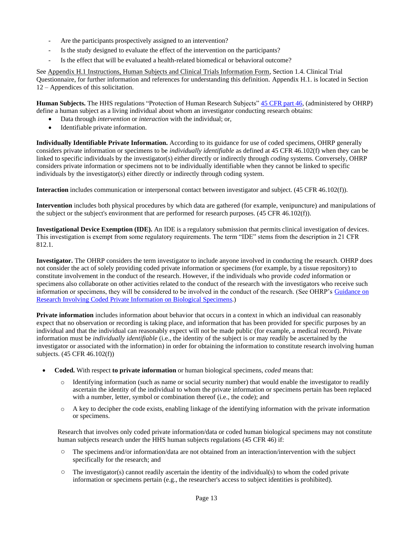- Are the participants prospectively assigned to an intervention?
- Is the study designed to evaluate the effect of the intervention on the participants?
- Is the effect that will be evaluated a health-related biomedical or behavioral outcome?

See Appendix H.1 Instructions, Human Subjects and Clinical Trials Information Form, Section 1.4. Clinical Trial Questionnaire, for further information and references for understanding this definition. Appendix H.1. is located in Section 12 – Appendices of this solicitation.

**Human Subjects.** The HHS regulations "Protection of Human Research Subjects" 45 [CFR](http://www.hhs.gov/ohrp/humansubjects/guidance/45cfr46.html) part 46, (administered by OHRP) define a human subject as a living individual about whom an investigator conducting research obtains:

- Data through *intervention* or *interaction* with the individual; or,
- Identifiable private information.

**Individually Identifiable Private Information.** According to its guidance for use of coded specimens, OHRP generally considers private information or specimens to be *individually identifiable* as defined at 45 CFR 46.102(f) when they can be linked to specific individuals by the investigator(s) either directly or indirectly through *coding* systems. Conversely, OHRP considers private information or specimens not to be individually identifiable when they cannot be linked to specific individuals by the investigator(s) either directly or indirectly through coding system.

**Interaction** includes communication or interpersonal contact between investigator and subject. (45 CFR 46.102(f)).

**Intervention** includes both physical procedures by which data are gathered (for example, venipuncture) and manipulations of the subject or the subject's environment that are performed for research purposes. (45 CFR 46.102(f)).

**Investigational Device Exemption (IDE).** An IDE is a regulatory submission that permits clinical investigation of devices. This investigation is exempt from some regulatory requirements. The term "IDE" stems from the description in 21 CFR 812.1.

**Investigator.** The OHRP considers the term investigator to include anyone involved in conducting the research. OHRP does not consider the act of solely providing coded private information or specimens (for example, by a tissue repository) to constitute involvement in the conduct of the research. However, if the individuals who provide *coded* information or specimens also collaborate on other activities related to the conduct of the research with the investigators who receive such information or specimens, they will be considered to be involved in the conduct of the research. (See OHRP's [Guidance on](http://www.hhs.gov/ohrp/policy/cdebiol.html) Research Involving [Coded Private Information](http://www.hhs.gov/ohrp/policy/cdebiol.html) on Biological Specimens.)

**Private information** includes information about behavior that occurs in a context in which an individual can reasonably expect that no observation or recording is taking place, and information that has been provided for specific purposes by an individual and that the individual can reasonably expect will not be made public (for example, a medical record). Private information must be *individually identifiable* (i.e., the identity of the subject is or may readily be ascertained by the investigator or associated with the information) in order for obtaining the information to constitute research involving human subjects. (45 CFR 46.102(f))

- **Coded.** With respect **to private information** or human biological specimens, *coded* means that:
	- Identifying information (such as name or social security number) that would enable the investigator to readily ascertain the identity of the individual to whom the private information or specimens pertain has been replaced with a number, letter, symbol or combination thereof (i.e., the code); and
	- $\circ$  A key to decipher the code exists, enabling linkage of the identifying information with the private information or specimens.

Research that involves only coded private information/data or coded human biological specimens may not constitute human subjects research under the HHS human subjects regulations (45 CFR 46) if:

- The specimens and/or information/data are not obtained from an interaction/intervention with the subject specifically for the research; and
- $\circ$  The investigator(s) cannot readily ascertain the identity of the individual(s) to whom the coded private information or specimens pertain (e.g., the researcher's access to subject identities is prohibited).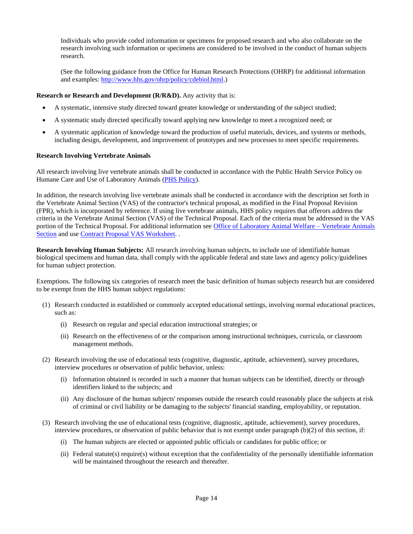Individuals who provide coded information or specimens for proposed research and who also collaborate on the research involving such information or specimens are considered to be involved in the conduct of human subjects research.

(See the following guidance from the Office for Human Research Protections (OHRP) for additional information and examples: [http://www.hhs.gov/ohrp/policy/cdebiol.html.\)](http://www.hhs.gov/ohrp/policy/cdebiol.html)

#### **Research or Research and Development (R/R&D).** Any activity that is:

- A systematic, intensive study directed toward greater knowledge or understanding of the subject studied;
- A systematic study directed specifically toward applying new knowledge to meet a recognized need; or
- A systematic application of knowledge toward the production of useful materials, devices, and systems or methods, including design, development, and improvement of prototypes and new processes to meet specific requirements.

#### **Research Involving Vertebrate Animals**

All research involving live vertebrate animals shall be conducted in accordance with the Public Health Service Policy on Humane Care and Use of Laboratory Animals (PHS [Policy\)](http://grants1.nih.gov/grants/olaw/references/phspol.htm).

In addition, the research involving live vertebrate animals shall be conducted in accordance with the description set forth in the Vertebrate Animal Section (VAS) of the contractor's technical proposal, as modified in the Final Proposal Revision (FPR), which is incorporated by reference. If using live vertebrate animals, HHS policy requires that offerors address the criteria in the Vertebrate Animal Section (VAS) of the Technical Proposal. Each of the criteria must be addressed in the VAS portion of the Technical Proposal. For additional information see [Office of Laboratory Animal Welfare –](http://grants.nih.gov/grants/olaw/vertebrate_animal_section.htm) Vertebrate Animals [Section](http://grants.nih.gov/grants/olaw/vertebrate_animal_section.htm) and use [Contract Proposal VAS](http://grants.nih.gov/grants/olaw/VAScontracts.pdf) Worksheet...

**Research Involving Human Subjects:** All research involving human subjects, to include use of identifiable human biological specimens and human data, shall comply with the applicable federal and state laws and agency policy/guidelines for human subject protection.

Exemptions. The following six categories of research meet the basic definition of human subjects research but are considered to be exempt from the HHS human subject regulations:

- (1) Research conducted in established or commonly accepted educational settings, involving normal educational practices, such as:
	- (i) Research on regular and special education instructional strategies; or
	- (ii) Research on the effectiveness of or the comparison among instructional techniques, curricula, or classroom management methods.
- (2) Research involving the use of educational tests (cognitive, diagnostic, aptitude, achievement), survey procedures, interview procedures or observation of public behavior, unless:
	- (i) Information obtained is recorded in such a manner that human subjects can be identified, directly or through identifiers linked to the subjects; and
	- (ii) Any disclosure of the human subjects' responses outside the research could reasonably place the subjects at risk of criminal or civil liability or be damaging to the subjects' financial standing, employability, or reputation.
- (3) Research involving the use of educational tests (cognitive, diagnostic, aptitude, achievement), survey procedures, interview procedures, or observation of public behavior that is not exempt under paragraph (b)(2) of this section, if:
	- (i) The human subjects are elected or appointed public officials or candidates for public office; or
	- (ii) Federal statute(s) require(s) without exception that the confidentiality of the personally identifiable information will be maintained throughout the research and thereafter.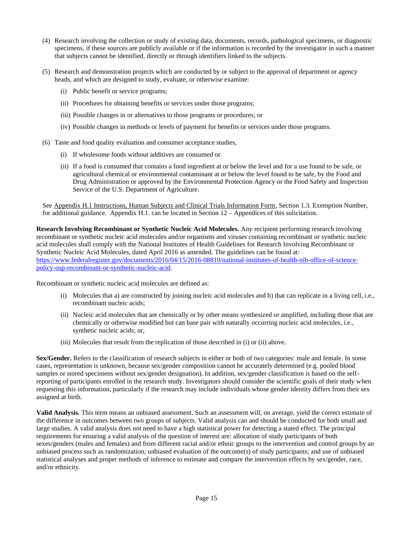- (4) Research involving the collection or study of existing data, documents, records, pathological specimens, or diagnostic specimens, if these sources are publicly available or if the information is recorded by the investigator in such a manner that subjects cannot be identified, directly or through identifiers linked to the subjects.
- (5) Research and demonstration projects which are conducted by or subject to the approval of department or agency heads, and which are designed to study, evaluate, or otherwise examine:
	- (i) Public benefit or service programs;
	- (ii) Procedures for obtaining benefits or services under those programs;
	- (iii) Possible changes in or alternatives to those programs or procedures; or
	- (iv) Possible changes in methods or levels of payment for benefits or services under those programs.
- (6) Taste and food quality evaluation and consumer acceptance studies,
	- (i) If wholesome foods without additives are consumed or
	- (ii) If a food is consumed that contains a food ingredient at or below the level and for a use found to be safe, or agricultural chemical or environmental contaminant at or below the level found to be safe, by the Food and Drug Administration or approved by the Environmental Protection Agency or the Food Safety and Inspection Service of the U.S. Department of Agriculture.

See Appendix H.1 Instructions, Human Subjects and Clinical Trials Information Form, Section 1.3. Exemption Number, for additional guidance. Appendix H.1. can be located in Section 12 – Appendices of this solicitation.

**Research Involving Recombinant or Synthetic Nucleic Acid Molecules.** Any recipient performing research involving recombinant or synthetic nucleic acid molecules and/or organisms and viruses containing recombinant or synthetic nucleic acid molecules shall comply with the National Institutes of Health Guidelines for Research Involving Recombinant or Synthetic Nucleic Acid Molecules, dated April 2016 as amended. The guidelines can be found at: [https://www.federalregister.gov/documents/2016/04/15/2016-08810/national-institutes-of-health-nih-office-of-science](https://www.federalregister.gov/documents/2016/04/15/2016-08810/national-institutes-of-health-nih-office-of-science-policy-osp-recombinant-or-synthetic-nucleic-acid)[policy-osp-recombinant-or-synthetic-nucleic-acid.](https://www.federalregister.gov/documents/2016/04/15/2016-08810/national-institutes-of-health-nih-office-of-science-policy-osp-recombinant-or-synthetic-nucleic-acid)

Recombinant or synthetic nucleic acid molecules are defined as:

- (i) Molecules that a) are constructed by joining nucleic acid molecules and b) that can replicate in a living cell, i.e., recombinant nucleic acids;
- (ii) Nucleic acid molecules that are chemically or by other means synthesized or amplified, including those that are chemically or otherwise modified but can base pair with naturally occurring nucleic acid molecules, i.e., synthetic nucleic acids; or,
- (iii) Molecules that result from the replication of those described in (i) or (ii) above.

**Sex/Gender.** Refers to the classification of research subjects in either or both of two categories: male and female. In some cases, representation is unknown, because sex/gender composition cannot be accurately determined (e.g. pooled blood samples or stored specimens without sex/gender designation). In addition, sex/gender classification is based on the selfreporting of participants enrolled in the research study. Investigators should consider the scientific goals of their study when requesting this information, particularly if the research may include individuals whose gender identity differs from their sex assigned at birth.

**Valid Analysis***.* This term means an unbiased assessment. Such an assessment will, on average, yield the correct estimate of the difference in outcomes between two groups of subjects. Valid analysis can and should be conducted for both small and large studies. A valid analysis does not need to have a high statistical power for detecting a stated effect. The principal requirements for ensuring a valid analysis of the question of interest are: allocation of study participants of both sexes/genders (males and females) and from different racial and/or ethnic groups to the intervention and control groups by an unbiased process such as randomization; unbiased evaluation of the outcome(s) of study participants; and use of unbiased statistical analyses and proper methods of inference to estimate and compare the intervention effects by sex/gender, race, and/or ethnicity.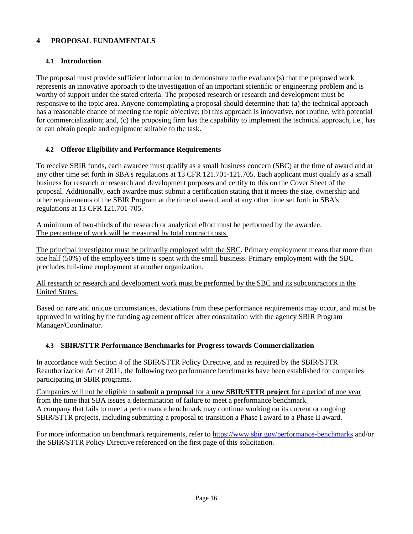# <span id="page-15-0"></span>**4 PROPOSAL FUNDAMENTALS**

# **4.1 Introduction**

<span id="page-15-1"></span>The proposal must provide sufficient information to demonstrate to the evaluator(s) that the proposed work represents an innovative approach to the investigation of an important scientific or engineering problem and is worthy of support under the stated criteria. The proposed research or research and development must be responsive to the topic area. Anyone contemplating a proposal should determine that: (a) the technical approach has a reasonable chance of meeting the topic objective; (b) this approach is innovative, not routine, with potential for commercialization; and, (c) the proposing firm has the capability to implement the technical approach, i.e., has or can obtain people and equipment suitable to the task.

### <span id="page-15-2"></span>**4.2 Offeror Eligibility and Performance Requirements**

To receive SBIR funds, each awardee must qualify as a small business concern (SBC) at the time of award and at any other time set forth in SBA's regulations at 13 CFR 121.701-121.705. Each applicant must qualify as a small business for research or research and development purposes and certify to this on the Cover Sheet of the proposal. Additionally, each awardee must submit a certification stating that it meets the size, ownership and other requirements of the SBIR Program at the time of award, and at any other time set forth in SBA's regulations at 13 CFR 121.701-705.

A minimum of two-thirds of the research or analytical effort must be performed by the awardee. The percentage of work will be measured by total contract costs.

The principal investigator must be primarily employed with the SBC. Primary employment means that more than one half (50%) of the employee's time is spent with the small business. Primary employment with the SBC precludes full-time employment at another organization.

### All research or research and development work must be performed by the SBC and its subcontractors in the United States.

Based on rare and unique circumstances, deviations from these performance requirements may occur, and must be approved in writing by the funding agreement officer after consultation with the agency SBIR Program Manager/Coordinator.

### **4.3 SBIR/STTR Performance Benchmarks for Progress towards Commercialization**

<span id="page-15-3"></span>In accordance with Section 4 of the SBIR/STTR Policy Directive, and as required by the SBIR/STTR Reauthorization Act of 2011, the following two performance benchmarks have been established for companies participating in SBIR programs.

Companies will not be eligible to **submit a proposal** for a **new SBIR/STTR project** for a period of one year from the time that SBA issues a determination of failure to meet a performance benchmark. A company that fails to meet a performance benchmark may continue working on its current or ongoing SBIR/STTR projects, including submitting a proposal to transition a Phase I award to a Phase II award.

For more information on benchmark requirements, refer to<https://www.sbir.gov/performance-benchmarks> and/or the SBIR/STTR Policy Directive referenced on the first page of this solicitation.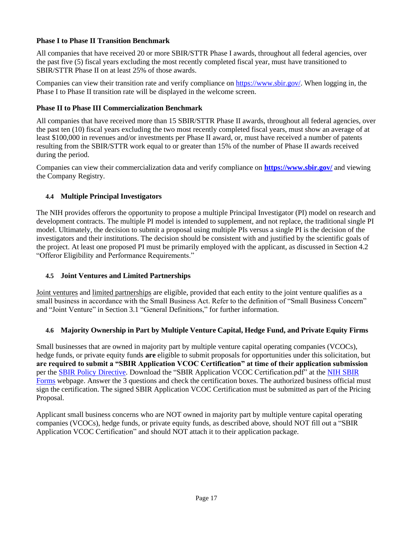### **Phase I to Phase II Transition Benchmark**

All companies that have received 20 or more SBIR/STTR Phase I awards, throughout all federal agencies, over the past five (5) fiscal years excluding the most recently completed fiscal year, must have transitioned to SBIR/STTR Phase II on at least 25% of those awards.

Companies can view their transition rate and verify compliance o[n https://www.sbir.gov/. W](https://www.sbir.gov/)hen logging in, the Phase I to Phase II transition rate will be displayed in the welcome screen.

### **Phase II to Phase III Commercialization Benchmark**

All companies that have received more than 15 SBIR/STTR Phase II awards, throughout all federal agencies, over the past ten (10) fiscal years excluding the two most recently completed fiscal years, must show an average of at least \$100,000 in revenues and/or investments per Phase II award, or, must have received a number of patents resulting from the SBIR/STTR work equal to or greater than 15% of the number of Phase II awards received during the period.

Companies can view their commercialization data and verify compliance on **<https://www.sbir.gov/>** and viewing the Company Registry.

### <span id="page-16-0"></span>**4.4 Multiple Principal Investigators**

The NIH provides offerors the opportunity to propose a multiple Principal Investigator (PI) model on research and development contracts. The multiple PI model is intended to supplement, and not replace, the traditional single PI model. Ultimately, the decision to submit a proposal using multiple PIs versus a single PI is the decision of the investigators and their institutions. The decision should be consistent with and justified by the scientific goals of the project. At least one proposed PI must be primarily employed with the applicant, as discussed in Section 4.2 "Offeror Eligibility and Performance Requirements."

### <span id="page-16-1"></span>**4.5 Joint Ventures and Limited Partnerships**

Joint ventures and limited partnerships are eligible, provided that each entity to the joint venture qualifies as a small business in accordance with the Small Business Act. Refer to the definition of "Small Business Concern" and "Joint Venture" in Section 3.1 "General Definitions," for further information.

# **4.6 Majority Ownership in Part by Multiple Venture Capital, Hedge Fund, and Private Equity Firms**

<span id="page-16-2"></span>Small businesses that are owned in majority part by multiple venture capital operating companies (VCOCs), hedge funds, or private equity funds **are** eligible to submit proposals for opportunities under this solicitation, but **are required to submit a "SBIR Application VCOC Certification" at time of their application submission** per the SBIR Policy [Directive.](https://www.sbir.gov/sites/default/files/SBIR-STTR_Policy_Directive_2019.pdf) Download the "SBIR Application VCOC Certification.pdf" at the NIH [SBIR](http://grants.nih.gov/grants/forms/manage_a_small_business_award.htm) [Forms](http://grants.nih.gov/grants/forms/manage_a_small_business_award.htm) webpage. Answer the 3 questions and check the certification boxes. The authorized business official must sign the certification. The signed SBIR Application VCOC Certification must be submitted as part of the Pricing Proposal.

Applicant small business concerns who are NOT owned in majority part by multiple venture capital operating companies (VCOCs), hedge funds, or private equity funds, as described above, should NOT fill out a "SBIR Application VCOC Certification" and should NOT attach it to their application package.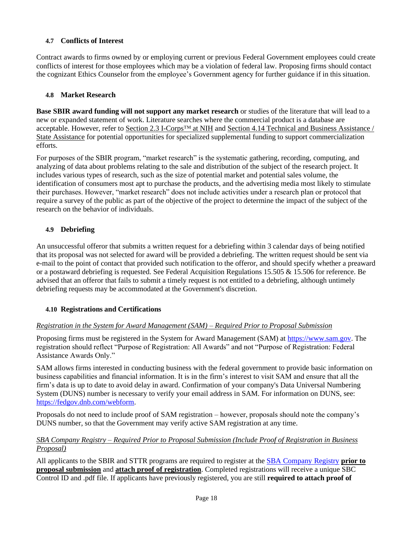# <span id="page-17-0"></span>**4.7 Conflicts of Interest**

Contract awards to firms owned by or employing current or previous Federal Government employees could create conflicts of interest for those employees which may be a violation of federal law. Proposing firms should contact the cognizant Ethics Counselor from the employee's Government agency for further guidance if in this situation.

### **4.8 Market Research**

<span id="page-17-1"></span>**Base SBIR award funding will not support any market research** or studies of the literature that will lead to a new or expanded statement of work. Literature searches where the commercial product is a database are acceptable. However, refer to Section 2.3 I-Corps™ at NIH and Section 4.14 Technical and Business Assistance / State Assistance for potential opportunities for specialized supplemental funding to support commercialization efforts.

For purposes of the SBIR program, "market research" is the systematic gathering, recording, computing, and analyzing of data about problems relating to the sale and distribution of the subject of the research project. It includes various types of research, such as the size of potential market and potential sales volume, the identification of consumers most apt to purchase the products, and the advertising media most likely to stimulate their purchases. However, "market research" does not include activities under a research plan or protocol that require a survey of the public as part of the objective of the project to determine the impact of the subject of the research on the behavior of individuals.

### <span id="page-17-2"></span>**4.9 Debriefing**

An unsuccessful offeror that submits a written request for a debriefing within 3 calendar days of being notified that its proposal was not selected for award will be provided a debriefing. The written request should be sent via e-mail to the point of contact that provided such notification to the offeror, and should specify whether a preaward or a postaward debriefing is requested. See Federal Acquisition Regulations 15.505 & 15.506 for reference. Be advised that an offeror that fails to submit a timely request is not entitled to a debriefing, although untimely debriefing requests may be accommodated at the Government's discretion.

### <span id="page-17-3"></span>**4.10 Registrations and Certifications**

### *Registration in the System for Award Management (SAM) – Required Prior to Proposal Submission*

Proposing firms must be registered in the System for Award Management (SAM) at [https://www.sam.gov.](https://www.sam.gov/) The registration should reflect "Purpose of Registration: All Awards" and not "Purpose of Registration: Federal Assistance Awards Only."

SAM allows firms interested in conducting business with the federal government to provide basic information on business capabilities and financial information. It is in the firm's interest to visit SAM and ensure that all the firm's data is up to date to avoid delay in award. Confirmation of your company's Data Universal Numbering System (DUNS) number is necessary to verify your email address in SAM. For information on DUNS, see: [https://fedgov.dnb.com/webform.](https://fedgov.dnb.com/webform)

Proposals do not need to include proof of SAM registration – however, proposals should note the company's DUNS number, so that the Government may verify active SAM registration at any time.

### *SBA Company Registry – Required Prior to Proposal Submission (Include Proof of Registration in Business Proposal)*

All applicants to the SBIR and STTR programs are required to register at the SBA [Company](http://sbir.gov/registration) Registry **prior to proposal submission** and **attach proof of registration**. Completed registrations will receive a unique SBC Control ID and .pdf file. If applicants have previously registered, you are still **required to attach proof of**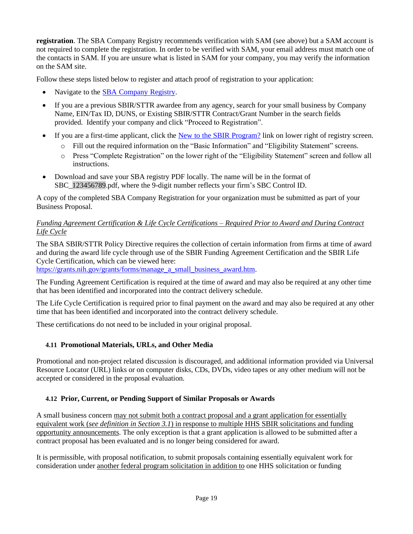**registration**. The SBA Company Registry recommends verification with SAM (see above) but a SAM account is not required to complete the registration. In order to be verified with SAM, your email address must match one of the contacts in SAM. If you are unsure what is listed in SAM for your company, you may verify the information on the SAM site.

Follow these steps listed below to register and attach proof of registration to your application:

- Navigate to the SBA [Company](http://sbir.gov/registration) Registry.
- If you are a previous SBIR/STTR awardee from any agency, search for your small business by Company Name, EIN/Tax ID, DUNS, or Existing SBIR/STTR Contract/Grant Number in the search fields provided. Identify your company and click "Proceed to Registration".
- If you are a first-time applicant, click the New to the SBIR [Program?](http://sbir.gov/firm_user_register) link on lower right of registry screen.
	- o Fill out the required information on the "Basic Information" and "Eligibility Statement" screens.
	- o Press "Complete Registration" on the lower right of the "Eligibility Statement" screen and follow all instructions.
- Download and save your SBA registry PDF locally. The name will be in the format of SBC\_123456789.pdf, where the 9-digit number reflects your firm's SBC Control ID.

A copy of the completed SBA Company Registration for your organization must be submitted as part of your Business Proposal.

### *Funding Agreement Certification & Life Cycle Certifications – Required Prior to Award and During Contract Life Cycle*

The SBA SBIR/STTR Policy Directive requires the collection of certain information from firms at time of award and during the award life cycle through use of the SBIR Funding Agreement Certification and the SBIR Life Cycle Certification, which can be viewed here:

[https://grants.nih.gov/grants/forms/manage\\_a\\_small\\_business\\_award.htm.](https://grants.nih.gov/grants/forms/manage_a_small_business_award.htm)

The Funding Agreement Certification is required at the time of award and may also be required at any other time that has been identified and incorporated into the contract delivery schedule.

The Life Cycle Certification is required prior to final payment on the award and may also be required at any other time that has been identified and incorporated into the contract delivery schedule.

These certifications do not need to be included in your original proposal.

# <span id="page-18-0"></span>**4.11 Promotional Materials, URLs, and Other Media**

Promotional and non-project related discussion is discouraged, and additional information provided via Universal Resource Locator (URL) links or on computer disks, CDs, DVDs, video tapes or any other medium will not be accepted or considered in the proposal evaluation.

# <span id="page-18-1"></span>**4.12 Prior, Current, or Pending Support of Similar Proposals or Awards**

A small business concern may not submit both a contract proposal and a grant application for essentially equivalent work (*see definition in Section 3.1*) in response to multiple HHS SBIR solicitations and funding opportunity announcements. The only exception is that a grant application is allowed to be submitted after a contract proposal has been evaluated and is no longer being considered for award.

It is permissible, with proposal notification, to submit proposals containing essentially equivalent work for consideration under another federal program solicitation in addition to one HHS solicitation or funding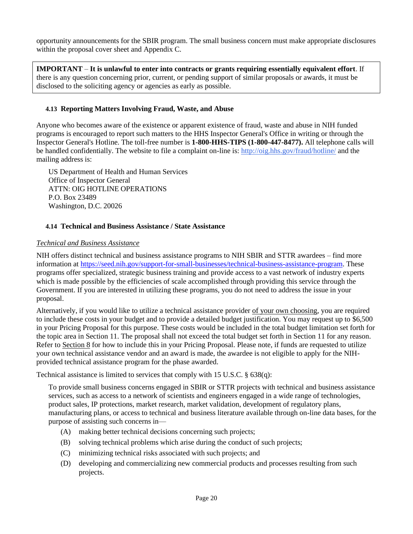opportunity announcements for the SBIR program. The small business concern must make appropriate disclosures within the proposal cover sheet and Appendix C.

**IMPORTANT** – **It is unlawful to enter into contracts or grants requiring essentially equivalent effort**. If there is any question concerning prior, current, or pending support of similar proposals or awards, it must be disclosed to the soliciting agency or agencies as early as possible.

### <span id="page-19-0"></span>**4.13 Reporting Matters Involving Fraud, Waste, and Abuse**

Anyone who becomes aware of the existence or apparent existence of fraud, waste and abuse in NIH funded programs is encouraged to report such matters to the HHS Inspector General's Office in writing or through the Inspector General's Hotline. The toll-free number is **1-800-HHS-TIPS (1-800-447-8477).** All telephone calls will be handled confidentially. The website to file a complaint on-line is:<http://oig.hhs.gov/fraud/hotline/> and the mailing address is:

US Department of Health and Human Services Office of Inspector General ATTN: OIG HOTLINE OPERATIONS P.O. Box 23489 Washington, D.C. 20026

#### <span id="page-19-1"></span>**4.14 Technical and Business Assistance / State Assistance**

#### *Technical and Business Assistance*

NIH offers distinct technical and business assistance programs to NIH SBIR and STTR awardees – find more information at [https://seed.nih.gov/support-for-small-businesses/technical-business-assistance-program.](https://seed.nih.gov/support-for-small-businesses/technical-business-assistance-program) These programs offer specialized, strategic business training and provide access to a vast network of industry experts which is made possible by the efficiencies of scale accomplished through providing this service through the Government. If you are interested in utilizing these programs, you do not need to address the issue in your proposal.

Alternatively, if you would like to utilize a technical assistance provider of your own choosing, you are required to include these costs in your budget and to provide a detailed budget justification. You may request up to \$6,500 in your Pricing Proposal for this purpose. These costs would be included in the total budget limitation set forth for the topic area in Section 11. The proposal shall not exceed the total budget set forth in Section 11 for any reason. Refer to Section 8 for how to include this in your Pricing Proposal. Please note, if funds are requested to utilize your own technical assistance vendor and an award is made, the awardee is not eligible to apply for the NIHprovided technical assistance program for the phase awarded.

Technical assistance is limited to services that comply with 15 U.S.C. § 638(q):

To provide small business concerns engaged in SBIR or STTR projects with technical and business assistance services, such as access to a network of scientists and engineers engaged in a wide range of technologies, product sales, IP protections, market research, market validation, development of regulatory plans, manufacturing plans, or access to technical and business literature available through on-line data bases, for the purpose of assisting such concerns in—

- (A) making better technical decisions concerning such projects;
- (B) solving technical problems which arise during the conduct of such projects;
- (C) minimizing technical risks associated with such projects; and
- (D) developing and commercializing new commercial products and processes resulting from such projects.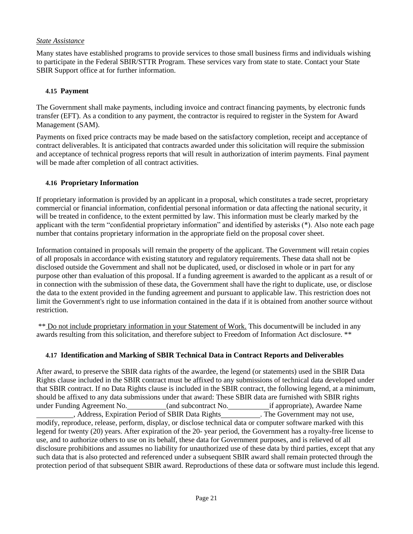### *State Assistance*

Many states have established programs to provide services to those small business firms and individuals wishing to participate in the Federal SBIR/STTR Program. These services vary from state to state. Contact your State SBIR Support office at for further information.

### <span id="page-20-0"></span>**4.15 Payment**

The Government shall make payments, including invoice and contract financing payments, by electronic funds transfer (EFT). As a condition to any payment, the contractor is required to register in the System for Award Management (SAM).

Payments on fixed price contracts may be made based on the satisfactory completion, receipt and acceptance of contract deliverables. It is anticipated that contracts awarded under this solicitation will require the submission and acceptance of technical progress reports that will result in authorization of interim payments. Final payment will be made after completion of all contract activities.

### <span id="page-20-1"></span>**4.16 Proprietary Information**

If proprietary information is provided by an applicant in a proposal, which constitutes a trade secret, proprietary commercial or financial information, confidential personal information or data affecting the national security, it will be treated in confidence, to the extent permitted by law. This information must be clearly marked by the applicant with the term "confidential proprietary information" and identified by asterisks (\*). Also note each page number that contains proprietary information in the appropriate field on the proposal cover sheet.

Information contained in proposals will remain the property of the applicant. The Government will retain copies of all proposals in accordance with existing statutory and regulatory requirements. These data shall not be disclosed outside the Government and shall not be duplicated, used, or disclosed in whole or in part for any purpose other than evaluation of this proposal. If a funding agreement is awarded to the applicant as a result of or in connection with the submission of these data, the Government shall have the right to duplicate, use, or disclose the data to the extent provided in the funding agreement and pursuant to applicable law. This restriction does not limit the Government's right to use information contained in the data if it is obtained from another source without restriction.

\*\* Do not include proprietary information in your Statement of Work. This documentwill be included in any awards resulting from this solicitation, and therefore subject to Freedom of Information Act disclosure. \*\*

### <span id="page-20-2"></span>**4.17 Identification and Marking of SBIR Technical Data in Contract Reports and Deliverables**

After award, to preserve the SBIR data rights of the awardee, the legend (or statements) used in the SBIR Data Rights clause included in the SBIR contract must be affixed to any submissions of technical data developed under that SBIR contract. If no Data Rights clause is included in the SBIR contract, the following legend, at a minimum, should be affixed to any data submissions under that award: These SBIR data are furnished with SBIR rights under Funding Agreement No. \_\_\_\_\_\_\_\_\_(and subcontract No. \_\_\_\_\_\_\_\_\_\_\_\_\_if appropriate), Awardee Name , Address, Expiration Period of SBIR Data Rights . The Government may not use, modify, reproduce, release, perform, display, or disclose technical data or computer software marked with this legend for twenty (20) years. After expiration of the 20- year period, the Government has a royalty-free license to use, and to authorize others to use on its behalf, these data for Government purposes, and is relieved of all disclosure prohibitions and assumes no liability for unauthorized use of these data by third parties, except that any such data that is also protected and referenced under a subsequent SBIR award shall remain protected through the protection period of that subsequent SBIR award. Reproductions of these data or software must include this legend.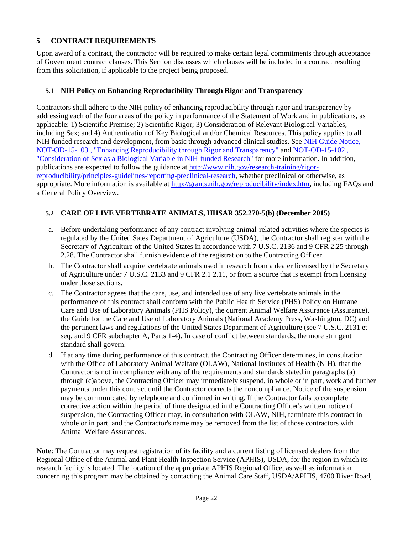# <span id="page-21-0"></span>**5 CONTRACT REQUIREMENTS**

Upon award of a contract, the contractor will be required to make certain legal commitments through acceptance of Government contract clauses. This Section discusses which clauses will be included in a contract resulting from this solicitation, if applicable to the project being proposed.

### <span id="page-21-1"></span>**5.1 NIH Policy on Enhancing Reproducibility Through Rigor and Transparency**

Contractors shall adhere to the NIH policy of enhancing reproducibility through rigor and transparency by addressing each of the four areas of the policy in performance of the Statement of Work and in publications, as applicable: 1) Scientific Premise; 2) Scientific Rigor; 3) Consideration of Relevant Biological Variables, including Sex; and 4) Authentication of Key Biological and/or Chemical Resources. This policy applies to all NIH funded research and development, from basic through advanced clinical studies. See [NIH Guide Notice,](http://grants.nih.gov/grants/guide/notice-files/NOT-OD-15-103.html) [NOT-OD-15-103 , "Enhancing Reproducibility through Rigor and Transparency"](http://grants.nih.gov/grants/guide/notice-files/NOT-OD-15-103.html) and [NOT-OD-15-102 ,](http://grants.nih.gov/grants/guide/notice-files/NOT-OD-15-102.html) ["Consideration of Sex as a Biological Variable in NIH-funded Research"](http://grants.nih.gov/grants/guide/notice-files/NOT-OD-15-102.html) for more information. In addition, publications are expected to follow the guidance at [http://www.nih.gov/research-training/rigor](http://www.nih.gov/research-training/rigor-reproducibility/principles-guidelines-reporting-preclinical-research)[reproducibility/principles-guidelines-reporting-preclinical-research, w](http://www.nih.gov/research-training/rigor-reproducibility/principles-guidelines-reporting-preclinical-research)hether preclinical or otherwise, as appropriate. More information is available at [http://grants.nih.gov/reproducibility/index.htm, i](http://grants.nih.gov/reproducibility/index.htm)ncluding FAQs and a General Policy Overview.

### <span id="page-21-2"></span>**5.2 CARE OF LIVE VERTEBRATE ANIMALS, HHSAR 352.270-5(b) (December 2015)**

- a. Before undertaking performance of any contract involving animal-related activities where the species is regulated by the United Sates Department of Agriculture (USDA), the Contractor shall register with the Secretary of Agriculture of the United States in accordance with 7 U.S.C. 2136 and 9 CFR 2.25 through 2.28. The Contractor shall furnish evidence of the registration to the Contracting Officer.
- b. The Contractor shall acquire vertebrate animals used in research from a dealer licensed by the Secretary of Agriculture under 7 U.S.C. 2133 and 9 CFR 2.1 2.11, or from a source that is exempt from licensing under those sections.
- c. The Contractor agrees that the care, use, and intended use of any live vertebrate animals in the performance of this contract shall conform with the Public Health Service (PHS) Policy on Humane Care and Use of Laboratory Animals (PHS Policy), the current Animal Welfare Assurance (Assurance), the Guide for the Care and Use of Laboratory Animals (National Academy Press, Washington, DC) and the pertinent laws and regulations of the United States Department of Agriculture (see 7 U.S.C. 2131 et seq. and 9 CFR subchapter A, Parts 1-4). In case of conflict between standards, the more stringent standard shall govern.
- d. If at any time during performance of this contract, the Contracting Officer determines, in consultation with the Office of Laboratory Animal Welfare (OLAW), National Institutes of Health (NIH), that the Contractor is not in compliance with any of the requirements and standards stated in paragraphs (a) through (c)above, the Contracting Officer may immediately suspend, in whole or in part, work and further payments under this contract until the Contractor corrects the noncompliance. Notice of the suspension may be communicated by telephone and confirmed in writing. If the Contractor fails to complete corrective action within the period of time designated in the Contracting Officer's written notice of suspension, the Contracting Officer may, in consultation with OLAW, NIH, terminate this contract in whole or in part, and the Contractor's name may be removed from the list of those contractors with Animal Welfare Assurances.

**Note**: The Contractor may request registration of its facility and a current listing of licensed dealers from the Regional Office of the Animal and Plant Health Inspection Service (APHIS), USDA, for the region in which its research facility is located. The location of the appropriate APHIS Regional Office, as well as information concerning this program may be obtained by contacting the Animal Care Staff, USDA/APHIS, 4700 River Road,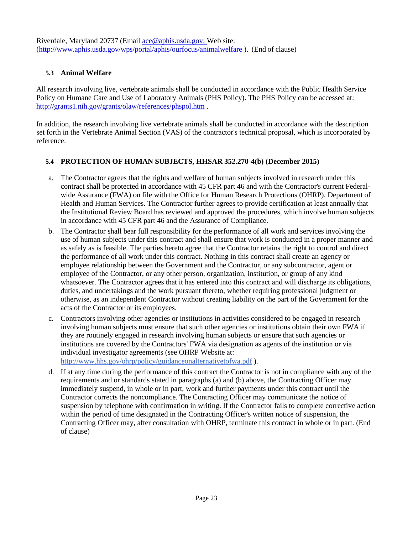Riverdale, Maryland 20737 (Email ace@aphis.usda.gov; Web site: [\(http://www.aphis.usda.gov/wps/portal/aphis/ourfocus/animalwelfare](http://www.aphis.usda.gov/wps/portal/aphis/ourfocus/animalwelfare)) ). (End of clause)

### <span id="page-22-0"></span>**5.3 Animal Welfare**

All research involving live, vertebrate animals shall be conducted in accordance with the Public Health Service Policy on Humane Care and Use of Laboratory Animals (PHS Policy). The PHS Policy can be accessed a[t:](http://grants1.nih.gov/grants/olaw/references/phspol.htm) [http://grants1.nih.gov/grants/olaw/references/phspol.htm .](http://grants1.nih.gov/grants/olaw/references/phspol.htm)

In addition, the research involving live vertebrate animals shall be conducted in accordance with the description set forth in the Vertebrate Animal Section (VAS) of the contractor's technical proposal, which is incorporated by reference.

### <span id="page-22-1"></span>**5.4 PROTECTION OF HUMAN SUBJECTS, HHSAR 352.270-4(b) (December 2015)**

- a. The Contractor agrees that the rights and welfare of human subjects involved in research under this contract shall be protected in accordance with 45 CFR part 46 and with the Contractor's current Federalwide Assurance (FWA) on file with the Office for Human Research Protections (OHRP), Department of Health and Human Services. The Contractor further agrees to provide certification at least annually that the Institutional Review Board has reviewed and approved the procedures, which involve human subjects in accordance with 45 CFR part 46 and the Assurance of Compliance.
- b. The Contractor shall bear full responsibility for the performance of all work and services involving the use of human subjects under this contract and shall ensure that work is conducted in a proper manner and as safely as is feasible. The parties hereto agree that the Contractor retains the right to control and direct the performance of all work under this contract. Nothing in this contract shall create an agency or employee relationship between the Government and the Contractor, or any subcontractor, agent or employee of the Contractor, or any other person, organization, institution, or group of any kind whatsoever. The Contractor agrees that it has entered into this contract and will discharge its obligations, duties, and undertakings and the work pursuant thereto, whether requiring professional judgment or otherwise, as an independent Contractor without creating liability on the part of the Government for the acts of the Contractor or its employees.
- c. Contractors involving other agencies or institutions in activities considered to be engaged in research involving human subjects must ensure that such other agencies or institutions obtain their own FWA if they are routinely engaged in research involving human subjects or ensure that such agencies or institutions are covered by the Contractors' FWA via designation as agents of the institution or via individual investigator agreements (see OHRP Website a[t:](http://www.hhs.gov/ohrp/policy/guidanceonalternativetofwa.pdf) <http://www.hhs.gov/ohrp/policy/guidanceonalternativetofwa.pdf> ).
- d. If at any time during the performance of this contract the Contractor is not in compliance with any of the requirements and or standards stated in paragraphs (a) and (b) above, the Contracting Officer may immediately suspend, in whole or in part, work and further payments under this contract until the Contractor corrects the noncompliance. The Contracting Officer may communicate the notice of suspension by telephone with confirmation in writing. If the Contractor fails to complete corrective action within the period of time designated in the Contracting Officer's written notice of suspension, the Contracting Officer may, after consultation with OHRP, terminate this contract in whole or in part. (End of clause)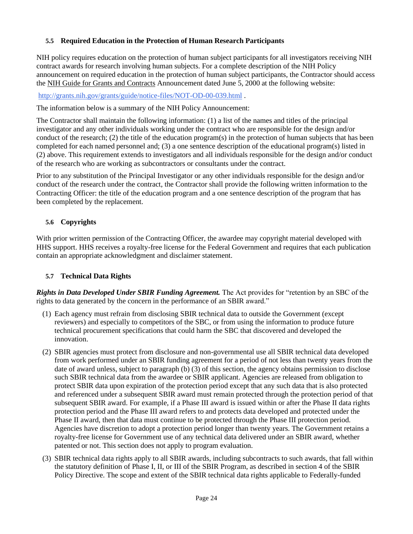# <span id="page-23-0"></span>**5.5 Required Education in the Protection of Human Research Participants**

NIH policy requires education on the protection of human subject participants for all investigators receiving NIH contract awards for research involving human subjects. For a complete description of the NIH Policy announcement on required education in the protection of human subject participants, the Contractor should access the NIH Guide for Grants and Contracts Announcement dated June 5, 2000 at the following website:

#### <http://grants.nih.gov/grants/guide/notice-files/NOT-OD-00-039.html> .

The information below is a summary of the NIH Policy Announcement:

The Contractor shall maintain the following information: (1) a list of the names and titles of the principal investigator and any other individuals working under the contract who are responsible for the design and/or conduct of the research; (2) the title of the education program(s) in the protection of human subjects that has been completed for each named personnel and; (3) a one sentence description of the educational program(s) listed in (2) above. This requirement extends to investigators and all individuals responsible for the design and/or conduct of the research who are working as subcontractors or consultants under the contract.

Prior to any substitution of the Principal Investigator or any other individuals responsible for the design and/or conduct of the research under the contract, the Contractor shall provide the following written information to the Contracting Officer: the title of the education program and a one sentence description of the program that has been completed by the replacement.

### <span id="page-23-1"></span>**5.6 Copyrights**

With prior written permission of the Contracting Officer, the awardee may copyright material developed with HHS support. HHS receives a royalty-free license for the Federal Government and requires that each publication contain an appropriate acknowledgment and disclaimer statement.

### <span id="page-23-2"></span>**5.7 Technical Data Rights**

*Rights in Data Developed Under SBIR Funding Agreement.* The Act provides for "retention by an SBC of the rights to data generated by the concern in the performance of an SBIR award."

- (1) Each agency must refrain from disclosing SBIR technical data to outside the Government (except reviewers) and especially to competitors of the SBC, or from using the information to produce future technical procurement specifications that could harm the SBC that discovered and developed the innovation.
- (2) SBIR agencies must protect from disclosure and non-governmental use all SBIR technical data developed from work performed under an SBIR funding agreement for a period of not less than twenty years from the date of award unless, subject to paragraph (b) (3) of this section, the agency obtains permission to disclose such SBIR technical data from the awardee or SBIR applicant. Agencies are released from obligation to protect SBIR data upon expiration of the protection period except that any such data that is also protected and referenced under a subsequent SBIR award must remain protected through the protection period of that subsequent SBIR award. For example, if a Phase III award is issued within or after the Phase II data rights protection period and the Phase III award refers to and protects data developed and protected under the Phase II award, then that data must continue to be protected through the Phase III protection period. Agencies have discretion to adopt a protection period longer than twenty years. The Government retains a royalty-free license for Government use of any technical data delivered under an SBIR award, whether patented or not. This section does not apply to program evaluation.
- (3) SBIR technical data rights apply to all SBIR awards, including subcontracts to such awards, that fall within the statutory definition of Phase I, II, or III of the SBIR Program, as described in section 4 of the SBIR Policy Directive. The scope and extent of the SBIR technical data rights applicable to Federally-funded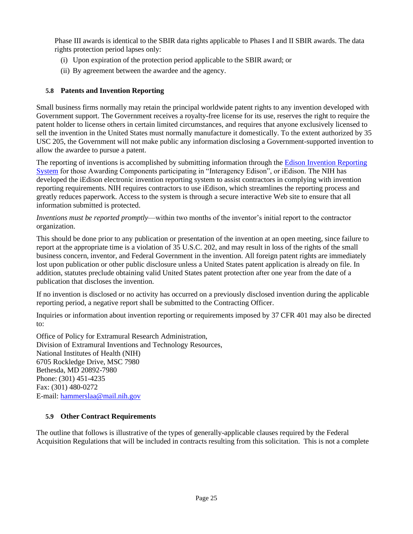Phase III awards is identical to the SBIR data rights applicable to Phases I and II SBIR awards. The data rights protection period lapses only:

- (i) Upon expiration of the protection period applicable to the SBIR award; or
- (ii) By agreement between the awardee and the agency.

### <span id="page-24-0"></span>**5.8 Patents and Invention Reporting**

Small business firms normally may retain the principal worldwide patent rights to any invention developed with Government support. The Government receives a royalty-free license for its use, reserves the right to require the patent holder to license others in certain limited circumstances, and requires that anyone exclusively licensed to sell the invention in the United States must normally manufacture it domestically. To the extent authorized by 35 USC 205, the Government will not make public any information disclosing a Government-supported invention to allow the awardee to pursue a patent.

The reporting of inventions is accomplished by submitting information through the [Edison Invention Reporting](http://www.iedison.gov/) [System](http://www.iedison.gov/) for those Awarding Components participating in "Interagency Edison", or iEdison. The NIH has developed the iEdison electronic invention reporting system to assist contractors in complying with invention reporting requirements. NIH requires contractors to use iEdison, which streamlines the reporting process and greatly reduces paperwork. Access to the system is through a secure interactive Web site to ensure that all information submitted is protected.

*Inventions must be reported promptly*—within two months of the inventor's initial report to the contractor organization.

This should be done prior to any publication or presentation of the invention at an open meeting, since failure to report at the appropriate time is a violation of 35 U.S.C. 202, and may result in loss of the rights of the small business concern, inventor, and Federal Government in the invention. All foreign patent rights are immediately lost upon publication or other public disclosure unless a United States patent application is already on file. In addition, statutes preclude obtaining valid United States patent protection after one year from the date of a publication that discloses the invention.

If no invention is disclosed or no activity has occurred on a previously disclosed invention during the applicable reporting period, a negative report shall be submitted to the Contracting Officer.

Inquiries or information about invention reporting or requirements imposed by 37 CFR 401 may also be directed to:

Office of Policy for Extramural Research Administration, Division of Extramural Inventions and Technology Resources, National Institutes of Health (NIH) 6705 Rockledge Drive, MSC 7980 Bethesda, MD 20892-7980 Phone: (301) 451-4235 Fax: (301) 480-0272 E-mail: [hammerslaa@mail.nih.gov](mailto:hammerslaa@mail.nih.gov)

### <span id="page-24-1"></span>**5.9 Other Contract Requirements**

The outline that follows is illustrative of the types of generally-applicable clauses required by the Federal Acquisition Regulations that will be included in contracts resulting from this solicitation. This is not a complete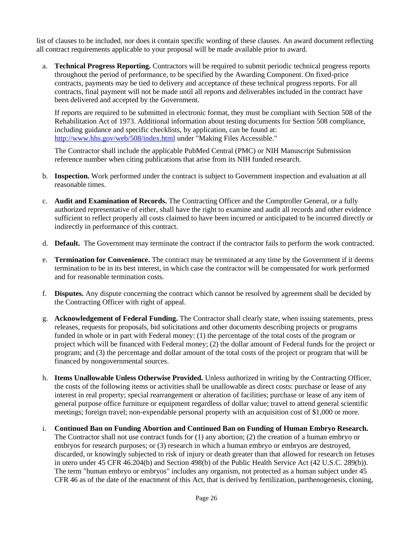list of clauses to be included, nor does it contain specific wording of these clauses. An award document reflecting all contract requirements applicable to your proposal will be made available prior to award.

a. **Technical Progress Reporting.** Contractors will be required to submit periodic technical progress reports throughout the period of performance, to be specified by the Awarding Component. On fixed-price contracts, payments may be tied to delivery and acceptance of these technical progress reports. For all contracts, final payment will not be made until all reports and deliverables included in the contract have been delivered and accepted by the Government.

If reports are required to be submitted in electronic format, they must be compliant with Section 508 of the Rehabilitation Act of 1973. Additional information about testing documents for Section 508 compliance, including guidance and specific checklists, by application, can be found at: <http://www.hhs.gov/web/508/index.html> under "Making Files Accessible."

The Contractor shall include the applicable PubMed Central (PMC) or NIH Manuscript Submission reference number when citing publications that arise from its NIH funded research.

- b. **Inspection.** Work performed under the contract is subject to Government inspection and evaluation at all reasonable times.
- c. **Audit and Examination of Records.** The Contracting Officer and the Comptroller General, or a fully authorized representative of either, shall have the right to examine and audit all records and other evidence sufficient to reflect properly all costs claimed to have been incurred or anticipated to be incurred directly or indirectly in performance of this contract.
- d. **Default.** The Government may terminate the contract if the contractor fails to perform the work contracted.
- e. **Termination for Convenience.** The contract may be terminated at any time by the Government if it deems termination to be in its best interest, in which case the contractor will be compensated for work performed and for reasonable termination costs.
- f. **Disputes.** Any dispute concerning the contract which cannot be resolved by agreement shall be decided by the Contracting Officer with right of appeal.
- g. **Acknowledgement of Federal Funding.** The Contractor shall clearly state, when issuing statements, press releases, requests for proposals, bid solicitations and other documents describing projects or programs funded in whole or in part with Federal money: (1) the percentage of the total costs of the program or project which will be financed with Federal money; (2) the dollar amount of Federal funds for the project or program; and (3) the percentage and dollar amount of the total costs of the project or program that will be financed by nongovernmental sources.
- h. **Items Unallowable Unless Otherwise Provided.** Unless authorized in writing by the Contracting Officer, the costs of the following items or activities shall be unallowable as direct costs: purchase or lease of any interest in real property; special rearrangement or alteration of facilities; purchase or lease of any item of general purpose office furniture or equipment regardless of dollar value; travel to attend general scientific meetings; foreign travel; non-expendable personal property with an acquisition cost of \$1,000 or more.
- i. **Continued Ban on Funding Abortion and Continued Ban on Funding of Human Embryo Research.** The Contractor shall not use contract funds for (1) any abortion; (2) the creation of a human embryo or embryos for research purposes; or (3) research in which a human embryo or embryos are destroyed, discarded, or knowingly subjected to risk of injury or death greater than that allowed for research on fetuses in utero under 45 CFR 46.204(b) and Section 498(b) of the Public Health Service Act (42 U.S.C. 289(b)). The term "human embryo or embryos" includes any organism, not protected as a human subject under 45 CFR 46 as of the date of the enactment of this Act, that is derived by fertilization, parthenogenesis, cloning,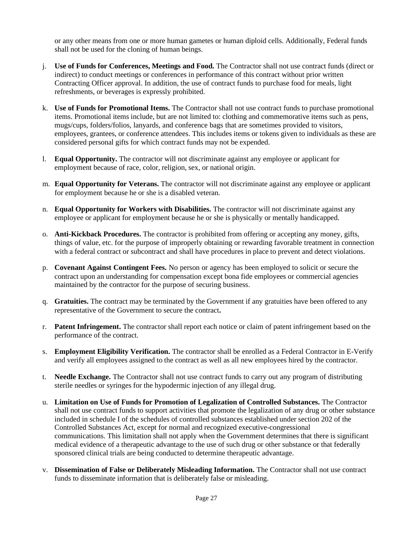or any other means from one or more human gametes or human diploid cells. Additionally, Federal funds shall not be used for the cloning of human beings.

- j. **Use of Funds for Conferences, Meetings and Food.** The Contractor shall not use contract funds (direct or indirect) to conduct meetings or conferences in performance of this contract without prior written Contracting Officer approval. In addition, the use of contract funds to purchase food for meals, light refreshments, or beverages is expressly prohibited.
- k. **Use of Funds for Promotional Items.** The Contractor shall not use contract funds to purchase promotional items. Promotional items include, but are not limited to: clothing and commemorative items such as pens, mugs/cups, folders/folios, lanyards, and conference bags that are sometimes provided to visitors, employees, grantees, or conference attendees. This includes items or tokens given to individuals as these are considered personal gifts for which contract funds may not be expended.
- l. **Equal Opportunity.** The contractor will not discriminate against any employee or applicant for employment because of race, color, religion, sex, or national origin.
- m. **Equal Opportunity for Veterans.** The contractor will not discriminate against any employee or applicant for employment because he or she is a disabled veteran.
- n. **Equal Opportunity for Workers with Disabilities.** The contractor will not discriminate against any employee or applicant for employment because he or she is physically or mentally handicapped.
- o. **Anti-Kickback Procedures.** The contractor is prohibited from offering or accepting any money, gifts, things of value, etc. for the purpose of improperly obtaining or rewarding favorable treatment in connection with a federal contract or subcontract and shall have procedures in place to prevent and detect violations.
- p. **Covenant Against Contingent Fees.** No person or agency has been employed to solicit or secure the contract upon an understanding for compensation except bona fide employees or commercial agencies maintained by the contractor for the purpose of securing business.
- q. **Gratuities.** The contract may be terminated by the Government if any gratuities have been offered to any representative of the Government to secure the contract**.**
- r. **Patent Infringement.** The contractor shall report each notice or claim of patent infringement based on the performance of the contract.
- s. **Employment Eligibility Verification.** The contractor shall be enrolled as a Federal Contractor in E-Verify and verify all employees assigned to the contract as well as all new employees hired by the contractor.
- t. **Needle Exchange.** The Contractor shall not use contract funds to carry out any program of distributing sterile needles or syringes for the hypodermic injection of any illegal drug.
- u. **Limitation on Use of Funds for Promotion of Legalization of Controlled Substances.** The Contractor shall not use contract funds to support activities that promote the legalization of any drug or other substance included in schedule I of the schedules of controlled substances established under section 202 of the Controlled Substances Act, except for normal and recognized executive-congressional communications. This limitation shall not apply when the Government determines that there is significant medical evidence of a therapeutic advantage to the use of such drug or other substance or that federally sponsored clinical trials are being conducted to determine therapeutic advantage.
- v. **Dissemination of False or Deliberately Misleading Information.** The Contractor shall not use contract funds to disseminate information that is deliberately false or misleading.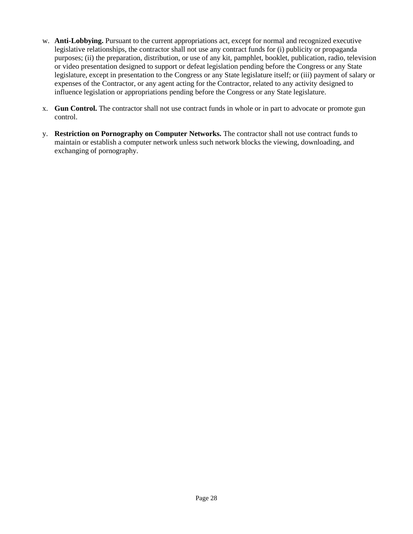- w. **Anti-Lobbying.** Pursuant to the current appropriations act, except for normal and recognized executive legislative relationships, the contractor shall not use any contract funds for (i) publicity or propaganda purposes; (ii) the preparation, distribution, or use of any kit, pamphlet, booklet, publication, radio, television or video presentation designed to support or defeat legislation pending before the Congress or any State legislature, except in presentation to the Congress or any State legislature itself; or (iii) payment of salary or expenses of the Contractor, or any agent acting for the Contractor, related to any activity designed to influence legislation or appropriations pending before the Congress or any State legislature.
- x. **Gun Control.** The contractor shall not use contract funds in whole or in part to advocate or promote gun control.
- y. **Restriction on Pornography on Computer Networks.** The contractor shall not use contract funds to maintain or establish a computer network unless such network blocks the viewing, downloading, and exchanging of pornography.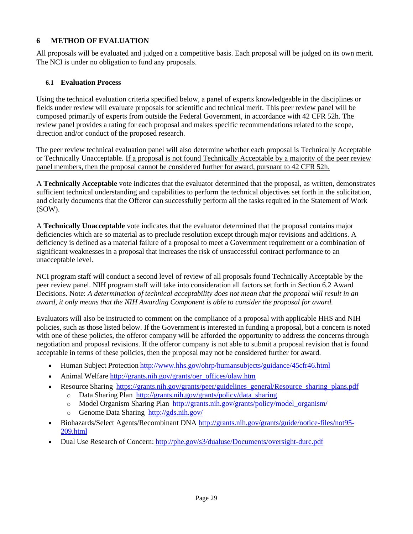# <span id="page-28-0"></span>**6 METHOD OF EVALUATION**

All proposals will be evaluated and judged on a competitive basis. Each proposal will be judged on its own merit. The NCI is under no obligation to fund any proposals.

### <span id="page-28-1"></span>**6.1 Evaluation Process**

Using the technical evaluation criteria specified below, a panel of experts knowledgeable in the disciplines or fields under review will evaluate proposals for scientific and technical merit. This peer review panel will be composed primarily of experts from outside the Federal Government, in accordance with 42 CFR 52h. The review panel provides a rating for each proposal and makes specific recommendations related to the scope, direction and/or conduct of the proposed research.

The peer review technical evaluation panel will also determine whether each proposal is Technically Acceptable or Technically Unacceptable. If a proposal is not found Technically Acceptable by a majority of the peer review panel members, then the proposal cannot be considered further for award, pursuant to 42 CFR 52h.

A **Technically Acceptable** vote indicates that the evaluator determined that the proposal, as written, demonstrates sufficient technical understanding and capabilities to perform the technical objectives set forth in the solicitation, and clearly documents that the Offeror can successfully perform all the tasks required in the Statement of Work (SOW).

A **Technically Unacceptable** vote indicates that the evaluator determined that the proposal contains major deficiencies which are so material as to preclude resolution except through major revisions and additions. A deficiency is defined as a material failure of a proposal to meet a Government requirement or a combination of significant weaknesses in a proposal that increases the risk of unsuccessful contract performance to an unacceptable level.

NCI program staff will conduct a second level of review of all proposals found Technically Acceptable by the peer review panel. NIH program staff will take into consideration all factors set forth in Section 6.2 Award Decisions. Note: *A determination of technical acceptability does not mean that the proposal will result in an award, it only means that the NIH Awarding Component is able to consider the proposal for award.*

Evaluators will also be instructed to comment on the compliance of a proposal with applicable HHS and NIH policies, such as those listed below. If the Government is interested in funding a proposal, but a concern is noted with one of these policies, the offeror company will be afforded the opportunity to address the concerns through negotiation and proposal revisions. If the offeror company is not able to submit a proposal revision that is found acceptable in terms of these policies, then the proposal may not be considered further for award.

- Human Subject Protection <http://www.hhs.gov/ohrp/humansubjects/guidance/45cfr46.html>
- Animal Welfare [http://grants.nih.gov/grants/oer\\_offices/olaw.htm](http://grants.nih.gov/grants/oer_offices/olaw.htm)
	- Resource Sharing [https://grants.nih.gov/grants/peer/guidelines\\_general/Resource\\_sharing\\_plans.pdf](https://grants.nih.gov/grants/peer/guidelines_general/Resource_sharing_plans.pdf)
		- o Data [Sharing](http://grants.nih.gov/grants/policy/data_sharing/data_sharing_guidance.htm) Plan [http://grants.nih.gov/grants/policy/data\\_sharing](http://grants.nih.gov/grants/policy/data_sharing)
			- Model Organism Sharing Plan [http://grants.nih.gov/grants/policy/model\\_organism/](http://grants.nih.gov/grants/policy/model_organism/)
			- Genome Data Sharing <http://gds.nih.gov/>
- Biohazards/Select Agents/Recombinant DNA [http://grants.nih.gov/grants/guide/notice-files/not95-](http://grants.nih.gov/grants/guide/notice-files/not95-209.html) [209.html](http://grants.nih.gov/grants/guide/notice-files/not95-209.html)
- Dual Use Research of Concern: <http://phe.gov/s3/dualuse/Documents/oversight-durc.pdf>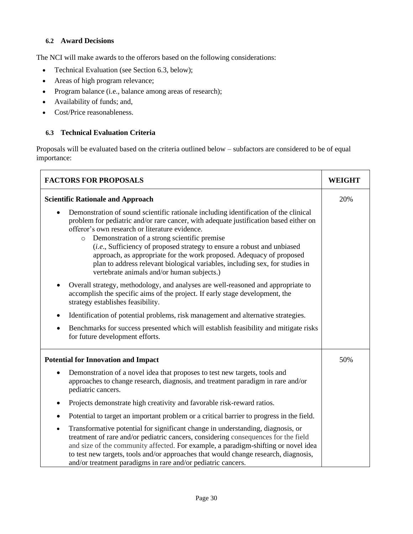### <span id="page-29-0"></span>**6.2 Award Decisions**

The NCI will make awards to the offerors based on the following considerations:

- Technical Evaluation (see Section 6.3, below);
- Areas of high program relevance;
- Program balance (i.e., balance among areas of research);
- Availability of funds; and,
- Cost/Price reasonableness.

### <span id="page-29-1"></span>**6.3 Technical Evaluation Criteria**

Proposals will be evaluated based on the criteria outlined below – subfactors are considered to be of equal importance:

| <b>FACTORS FOR PROPOSALS</b>                                                                                                                                                                                                                                                                                                                                                                                                                                                                                                                                                                      |  |
|---------------------------------------------------------------------------------------------------------------------------------------------------------------------------------------------------------------------------------------------------------------------------------------------------------------------------------------------------------------------------------------------------------------------------------------------------------------------------------------------------------------------------------------------------------------------------------------------------|--|
| <b>Scientific Rationale and Approach</b>                                                                                                                                                                                                                                                                                                                                                                                                                                                                                                                                                          |  |
| Demonstration of sound scientific rationale including identification of the clinical<br>$\bullet$<br>problem for pediatric and/or rare cancer, with adequate justification based either on<br>offeror's own research or literature evidence.<br>Demonstration of a strong scientific premise<br>$\circ$<br>( <i>i.e.</i> , Sufficiency of proposed strategy to ensure a robust and unbiased<br>approach, as appropriate for the work proposed. Adequacy of proposed<br>plan to address relevant biological variables, including sex, for studies in<br>vertebrate animals and/or human subjects.) |  |
| Overall strategy, methodology, and analyses are well-reasoned and appropriate to<br>$\bullet$<br>accomplish the specific aims of the project. If early stage development, the<br>strategy establishes feasibility.                                                                                                                                                                                                                                                                                                                                                                                |  |
| Identification of potential problems, risk management and alternative strategies.<br>$\bullet$                                                                                                                                                                                                                                                                                                                                                                                                                                                                                                    |  |
| Benchmarks for success presented which will establish feasibility and mitigate risks<br>$\bullet$<br>for future development efforts.                                                                                                                                                                                                                                                                                                                                                                                                                                                              |  |
| <b>Potential for Innovation and Impact</b>                                                                                                                                                                                                                                                                                                                                                                                                                                                                                                                                                        |  |
| Demonstration of a novel idea that proposes to test new targets, tools and<br>$\bullet$<br>approaches to change research, diagnosis, and treatment paradigm in rare and/or<br>pediatric cancers.                                                                                                                                                                                                                                                                                                                                                                                                  |  |
| Projects demonstrate high creativity and favorable risk-reward ratios.<br>$\bullet$                                                                                                                                                                                                                                                                                                                                                                                                                                                                                                               |  |
| Potential to target an important problem or a critical barrier to progress in the field.<br>$\bullet$                                                                                                                                                                                                                                                                                                                                                                                                                                                                                             |  |
| Transformative potential for significant change in understanding, diagnosis, or<br>$\bullet$<br>treatment of rare and/or pediatric cancers, considering consequences for the field<br>and size of the community affected. For example, a paradigm-shifting or novel idea<br>to test new targets, tools and/or approaches that would change research, diagnosis,<br>and/or treatment paradigms in rare and/or pediatric cancers.                                                                                                                                                                   |  |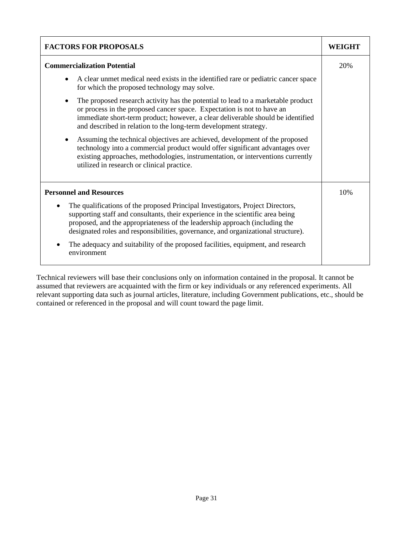| <b>FACTORS FOR PROPOSALS</b>                                                                                                                                                                                                                                                                                                                       |  |
|----------------------------------------------------------------------------------------------------------------------------------------------------------------------------------------------------------------------------------------------------------------------------------------------------------------------------------------------------|--|
| <b>Commercialization Potential</b>                                                                                                                                                                                                                                                                                                                 |  |
| A clear unmet medical need exists in the identified rare or pediatric cancer space<br>for which the proposed technology may solve.                                                                                                                                                                                                                 |  |
| The proposed research activity has the potential to lead to a marketable product<br>$\bullet$<br>or process in the proposed cancer space. Expectation is not to have an<br>immediate short-term product; however, a clear deliverable should be identified<br>and described in relation to the long-term development strategy.                     |  |
| Assuming the technical objectives are achieved, development of the proposed<br>$\bullet$<br>technology into a commercial product would offer significant advantages over<br>existing approaches, methodologies, instrumentation, or interventions currently<br>utilized in research or clinical practice.                                          |  |
| <b>Personnel and Resources</b>                                                                                                                                                                                                                                                                                                                     |  |
| The qualifications of the proposed Principal Investigators, Project Directors,<br>$\bullet$<br>supporting staff and consultants, their experience in the scientific area being<br>proposed, and the appropriateness of the leadership approach (including the<br>designated roles and responsibilities, governance, and organizational structure). |  |
| The adequacy and suitability of the proposed facilities, equipment, and research<br>environment                                                                                                                                                                                                                                                    |  |

Technical reviewers will base their conclusions only on information contained in the proposal. It cannot be assumed that reviewers are acquainted with the firm or key individuals or any referenced experiments. All relevant supporting data such as journal articles, literature, including Government publications, etc., should be contained or referenced in the proposal and will count toward the page limit.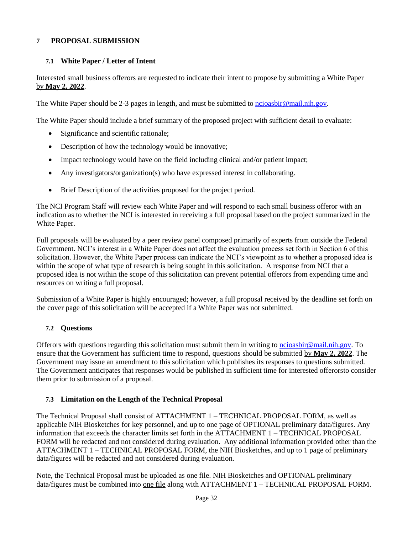### **7 PROPOSAL SUBMISSION**

### <span id="page-31-1"></span><span id="page-31-0"></span>**7.1 White Paper / Letter of Intent**

Interested small business offerors are requested to indicate their intent to propose by submitting a White Paper by **May 2, 2022**.

The White Paper should be 2-3 pages in length, and must be submitted to [ncioasbir@mail.nih.gov.](mailto:ncioasbir@mail.nih.gov)

The White Paper should include a brief summary of the proposed project with sufficient detail to evaluate:

- Significance and scientific rationale;
- Description of how the technology would be innovative;
- Impact technology would have on the field including clinical and/or patient impact;
- Any investigators/organization(s) who have expressed interest in collaborating.
- Brief Description of the activities proposed for the project period.

The NCI Program Staff will review each White Paper and will respond to each small business offeror with an indication as to whether the NCI is interested in receiving a full proposal based on the project summarized in the White Paper.

Full proposals will be evaluated by a peer review panel composed primarily of experts from outside the Federal Government. NCI's interest in a White Paper does not affect the evaluation process set forth in Section 6 of this solicitation. However, the White Paper process can indicate the NCI's viewpoint as to whether a proposed idea is within the scope of what type of research is being sought in this solicitation. A response from NCI that a proposed idea is not within the scope of this solicitation can prevent potential offerors from expending time and resources on writing a full proposal.

Submission of a White Paper is highly encouraged; however, a full proposal received by the deadline set forth on the cover page of this solicitation will be accepted if a White Paper was not submitted.

### <span id="page-31-2"></span>**7.2 Questions**

Offerors with questions regarding this solicitation must submit them in writing to [ncioasbir@mail.nih.gov.](mailto:ncioasbir@mail.nih.gov) To ensure that the Government has sufficient time to respond, questions should be submitted by **May 2, 2022**. The Government may issue an amendment to this solicitation which publishes its responses to questions submitted. The Government anticipates that responses would be published in sufficient time for interested offerorsto consider them prior to submission of a proposal.

#### <span id="page-31-3"></span>**7.3 Limitation on the Length of the Technical Proposal**

The Technical Proposal shall consist of ATTACHMENT 1 – TECHNICAL PROPOSAL FORM, as well as applicable NIH Biosketches for key personnel, and up to one page of OPTIONAL preliminary data/figures. Any information that exceeds the character limits set forth in the ATTACHMENT 1 – TECHNICAL PROPOSAL FORM will be redacted and not considered during evaluation. Any additional information provided other than the ATTACHMENT 1 – TECHNICAL PROPOSAL FORM, the NIH Biosketches, and up to 1 page of preliminary data/figures will be redacted and not considered during evaluation.

Note, the Technical Proposal must be uploaded as one file. NIH Biosketches and OPTIONAL preliminary data/figures must be combined into one file along with ATTACHMENT 1 – TECHNICAL PROPOSAL FORM.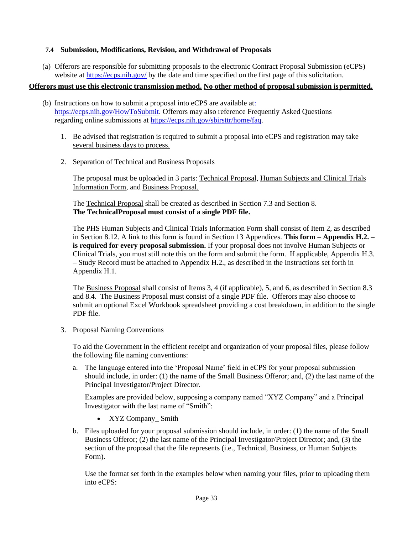### <span id="page-32-0"></span>**7.4 Submission, Modifications, Revision, and Withdrawal of Proposals**

(a) Offerors are responsible for submitting proposals to the electronic Contract Proposal Submission (eCPS) website at <https://ecps.nih.gov/> by the date and time specified on the first page of this solicitation.

### **Offerors must use this electronic transmission method. No other method of proposal submission is permitted.**

- (b) Instructions on how to submit a proposal into eCPS are available at: [https://ecps.nih.gov/HowToSubmit.](https://ecps.nih.gov/HowToSubmit) Offerors may also reference Frequently Asked Questions regarding online submissions at [https://ecps.nih.gov/sbirsttr/home/faq.](https://ecps.nih.gov/sbirsttr/home/faq)
	- 1. Be advised that registration is required to submit a proposal into eCPS and registration may take several business days to process.
	- 2. Separation of Technical and Business Proposals

The proposal must be uploaded in 3 parts: Technical Proposal, Human Subjects and Clinical Trials Information Form, and Business Proposal.

The Technical Proposal shall be created as described in Section 7.3 and Section 8. **The TechnicalProposal must consist of a single PDF file.**

The PHS Human Subjects and Clinical Trials Information Form shall consist of Item 2, as described in Section 8.12. A link to this form is found in Section 13 Appendices. **This form – Appendix H.2. – is required for every proposal submission.** If your proposal does not involve Human Subjects or Clinical Trials, you must still note this on the form and submit the form. If applicable, Appendix H.3. – Study Record must be attached to Appendix H.2., as described in the Instructions set forth in Appendix H.1.

The Business Proposal shall consist of Items 3, 4 (if applicable), 5, and 6, as described in Section 8.3 and 8.4. The Business Proposal must consist of a single PDF file. Offerors may also choose to submit an optional Excel Workbook spreadsheet providing a cost breakdown, in addition to the single PDF file.

3. Proposal Naming Conventions

To aid the Government in the efficient receipt and organization of your proposal files, please follow the following file naming conventions:

a. The language entered into the 'Proposal Name' field in eCPS for your proposal submission should include, in order: (1) the name of the Small Business Offeror; and, (2) the last name of the Principal Investigator/Project Director.

Examples are provided below, supposing a company named "XYZ Company" and a Principal Investigator with the last name of "Smith":

- XYZ Company Smith
- b. Files uploaded for your proposal submission should include, in order: (1) the name of the Small Business Offeror; (2) the last name of the Principal Investigator/Project Director; and, (3) the section of the proposal that the file represents (i.e., Technical, Business, or Human Subjects Form).

Use the format set forth in the examples below when naming your files, prior to uploading them into eCPS: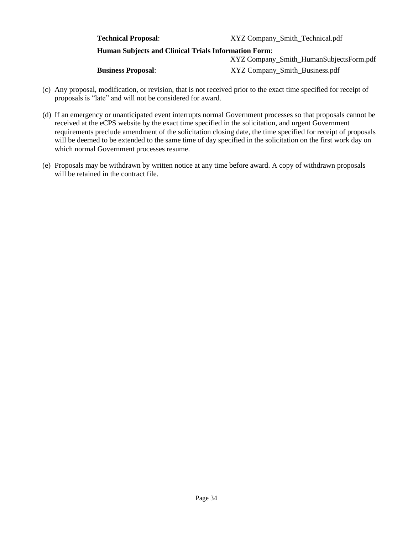| <b>Technical Proposal:</b>                                  | XYZ Company_Smith_Technical.pdf         |  |  |  |  |
|-------------------------------------------------------------|-----------------------------------------|--|--|--|--|
| <b>Human Subjects and Clinical Trials Information Form:</b> |                                         |  |  |  |  |
|                                                             | XYZ Company_Smith_HumanSubjectsForm.pdf |  |  |  |  |
| <b>Business Proposal:</b>                                   | XYZ Company_Smith_Business.pdf          |  |  |  |  |

- (c) Any proposal, modification, or revision, that is not received prior to the exact time specified for receipt of proposals is "late" and will not be considered for award.
- (d) If an emergency or unanticipated event interrupts normal Government processes so that proposals cannot be received at the eCPS website by the exact time specified in the solicitation, and urgent Government requirements preclude amendment of the solicitation closing date, the time specified for receipt of proposals will be deemed to be extended to the same time of day specified in the solicitation on the first work day on which normal Government processes resume.
- (e) Proposals may be withdrawn by written notice at any time before award. A copy of withdrawn proposals will be retained in the contract file.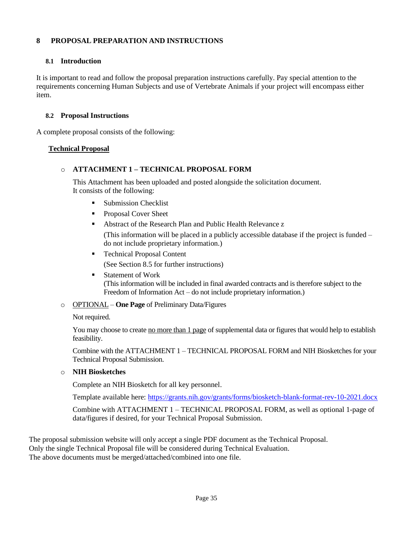### <span id="page-34-0"></span>**8 PROPOSAL PREPARATION AND INSTRUCTIONS**

### <span id="page-34-1"></span>**8.1 Introduction**

It is important to read and follow the proposal preparation instructions carefully. Pay special attention to the requirements concerning Human Subjects and use of Vertebrate Animals if your project will encompass either item.

#### <span id="page-34-2"></span>**8.2 Proposal Instructions**

A complete proposal consists of the following:

### **Technical Proposal**

### o **ATTACHMENT 1 – TECHNICAL PROPOSAL FORM**

This Attachment has been uploaded and posted alongside the solicitation document. It consists of the following:

- **Submission Checklist**
- Proposal Cover Sheet
- Abstract of the Research Plan and Public Health Relevance z

(This information will be placed in a publicly accessible database if the project is funded – do not include proprietary information.)

- Technical Proposal Content (See Section 8.5 for further instructions)
- **Statement of Work** (This information will be included in final awarded contracts and is therefore subject to the Freedom of Information Act – do not include proprietary information.)
- o OPTIONAL **One Page** of Preliminary Data/Figures

Not required.

You may choose to create no more than 1 page of supplemental data or figures that would help to establish feasibility.

Combine with the ATTACHMENT 1 – TECHNICAL PROPOSAL FORM and NIH Biosketches for your Technical Proposal Submission.

o **NIH Biosketches**

Complete an NIH Biosketch for all key personnel.

Template available here:<https://grants.nih.gov/grants/forms/biosketch-blank-format-rev-10-2021.docx>

Combine with ATTACHMENT 1 – TECHNICAL PROPOSAL FORM, as well as optional 1-page of data/figures if desired, for your Technical Proposal Submission.

The proposal submission website will only accept a single PDF document as the Technical Proposal. Only the single Technical Proposal file will be considered during Technical Evaluation. The above documents must be merged/attached/combined into one file.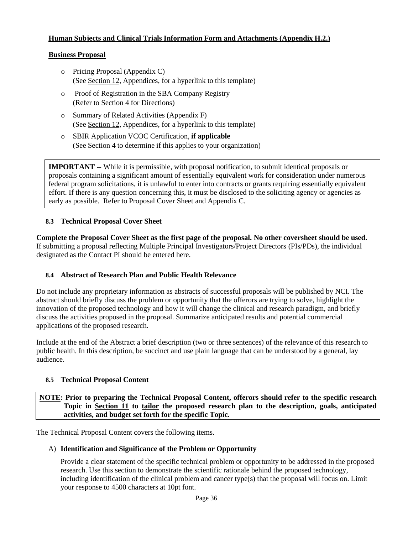### **Human Subjects and Clinical Trials Information Form and Attachments (Appendix H.2.)**

#### **Business Proposal**

- o Pricing Proposal (Appendix C) (See Section 12, Appendices, for a hyperlink to this template)
- o Proof of Registration in the SBA Company Registry (Refer to Section 4 for Directions)
- o Summary of Related Activities (Appendix F) (See Section 12, Appendices, for a hyperlink to this template)
- o SBIR Application VCOC Certification, **if applicable** (See Section 4 to determine if this applies to your organization)

<span id="page-35-0"></span>**IMPORTANT** -- While it is permissible, with proposal notification, to submit identical proposals or proposals containing a significant amount of essentially equivalent work for consideration under numerous federal program solicitations, it is unlawful to enter into contracts or grants requiring essentially equivalent effort. If there is any question concerning this, it must be disclosed to the soliciting agency or agencies as early as possible. Refer to Proposal Cover Sheet and Appendix C.

### **8.3 Technical Proposal Cover Sheet**

**Complete the Proposal Cover Sheet as the first page of the proposal. No other coversheet should be used.**  If submitting a proposal reflecting Multiple Principal Investigators/Project Directors (PIs/PDs), the individual designated as the Contact PI should be entered here.

### <span id="page-35-1"></span>**8.4 Abstract of Research Plan and Public Health Relevance**

Do not include any proprietary information as abstracts of successful proposals will be published by NCI. The abstract should briefly discuss the problem or opportunity that the offerors are trying to solve, highlight the innovation of the proposed technology and how it will change the clinical and research paradigm, and briefly discuss the activities proposed in the proposal. Summarize anticipated results and potential commercial applications of the proposed research.

Include at the end of the Abstract a brief description (two or three sentences) of the relevance of this research to public health. In this description, be succinct and use plain language that can be understood by a general, lay audience.

#### <span id="page-35-2"></span>**8.5 Technical Proposal Content**

**NOTE: Prior to preparing the Technical Proposal Content, offerors should refer to the specific research Topic in Section 11 to tailor the proposed research plan to the description, goals, anticipated activities, and budget set forth for the specific Topic.**

The Technical Proposal Content covers the following items.

#### A) **Identification and Significance of the Problem or Opportunity**

Provide a clear statement of the specific technical problem or opportunity to be addressed in the proposed research. Use this section to demonstrate the scientific rationale behind the proposed technology, including identification of the clinical problem and cancer type(s) that the proposal will focus on. Limit your response to 4500 characters at 10pt font.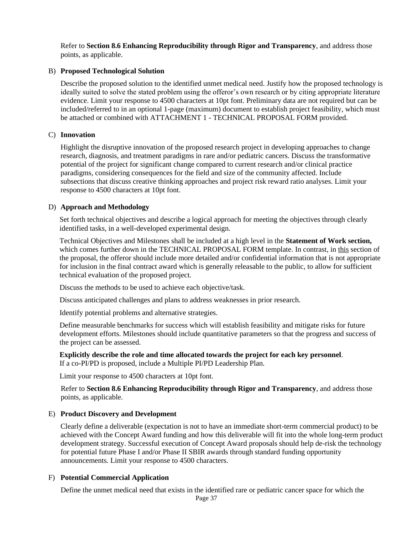Refer to **Section 8.6 Enhancing Reproducibility through Rigor and Transparency**, and address those points, as applicable.

#### B) **Proposed Technological Solution**

Describe the proposed solution to the identified unmet medical need. Justify how the proposed technology is ideally suited to solve the stated problem using the offeror's own research or by citing appropriate literature evidence. Limit your response to 4500 characters at 10pt font. Preliminary data are not required but can be included/referred to in an optional 1-page (maximum) document to establish project feasibility, which must be attached or combined with ATTACHMENT 1 - TECHNICAL PROPOSAL FORM provided.

#### C) **Innovation**

Highlight the disruptive innovation of the proposed research project in developing approaches to change research, diagnosis, and treatment paradigms in rare and/or pediatric cancers. Discuss the transformative potential of the project for significant change compared to current research and/or clinical practice paradigms, considering consequences for the field and size of the community affected. Include subsections that discuss creative thinking approaches and project risk reward ratio analyses. Limit your response to 4500 characters at 10pt font.

#### D) **Approach and Methodology**

Set forth technical objectives and describe a logical approach for meeting the objectives through clearly identified tasks, in a well-developed experimental design.

Technical Objectives and Milestones shall be included at a high level in the **Statement of Work section,** which comes further down in the TECHNICAL PROPOSAL FORM template. In contrast, in this section of the proposal, the offeror should include more detailed and/or confidential information that is not appropriate for inclusion in the final contract award which is generally releasable to the public, to allow for sufficient technical evaluation of the proposed project.

Discuss the methods to be used to achieve each objective/task.

Discuss anticipated challenges and plans to address weaknesses in prior research.

Identify potential problems and alternative strategies.

Define measurable benchmarks for success which will establish feasibility and mitigate risks for future development efforts. Milestones should include quantitative parameters so that the progress and success of the project can be assessed.

**Explicitly describe the role and time allocated towards the project for each key personnel**. If a co-PI/PD is proposed, include a Multiple PI/PD Leadership Plan.

Limit your response to 4500 characters at 10pt font.

Refer to **Section 8.6 Enhancing Reproducibility through Rigor and Transparency**, and address those points, as applicable.

#### E) **Product Discovery and Development**

Clearly define a deliverable (expectation is not to have an immediate short-term commercial product) to be achieved with the Concept Award funding and how this deliverable will fit into the whole long-term product development strategy. Successful execution of Concept Award proposals should help de-risk the technology for potential future Phase I and/or Phase II SBIR awards through standard funding opportunity announcements. Limit your response to 4500 characters.

#### F) **Potential Commercial Application**

Define the unmet medical need that exists in the identified rare or pediatric cancer space for which the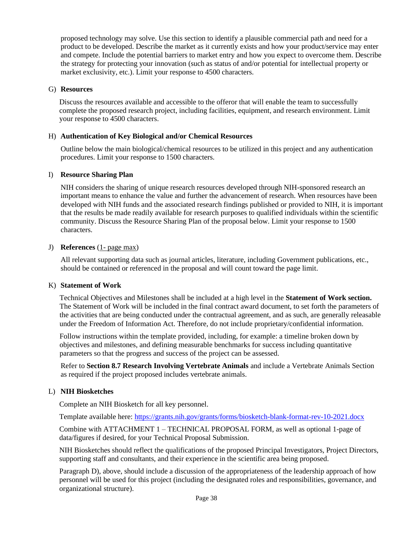proposed technology may solve. Use this section to identify a plausible commercial path and need for a product to be developed. Describe the market as it currently exists and how your product/service may enter and compete. Include the potential barriers to market entry and how you expect to overcome them. Describe the strategy for protecting your innovation (such as status of and/or potential for intellectual property or market exclusivity, etc.). Limit your response to 4500 characters.

#### G) **Resources**

Discuss the resources available and accessible to the offeror that will enable the team to successfully complete the proposed research project, including facilities, equipment, and research environment. Limit your response to 4500 characters.

### H) **Authentication of Key Biological and/or Chemical Resources**

Outline below the main biological/chemical resources to be utilized in this project and any authentication procedures. Limit your response to 1500 characters.

### I) **Resource Sharing Plan**

NIH considers the sharing of unique research resources developed through NIH-sponsored research an important means to enhance the value and further the advancement of research. When resources have been developed with NIH funds and the associated research findings published or provided to NIH, it is important that the results be made readily available for research purposes to qualified individuals within the scientific community. Discuss the Resource Sharing Plan of the proposal below. Limit your response to 1500 characters.

#### J) **References** (1- page max)

All relevant supporting data such as journal articles, literature, including Government publications, etc., should be contained or referenced in the proposal and will count toward the page limit.

#### K) **Statement of Work**

Technical Objectives and Milestones shall be included at a high level in the **Statement of Work section.**  The Statement of Work will be included in the final contract award document, to set forth the parameters of the activities that are being conducted under the contractual agreement, and as such, are generally releasable under the Freedom of Information Act. Therefore, do not include proprietary/confidential information.

Follow instructions within the template provided, including, for example: a timeline broken down by objectives and milestones, and defining measurable benchmarks for success including quantitative parameters so that the progress and success of the project can be assessed.

Refer to **Section 8.7 Research Involving Vertebrate Animals** and include a Vertebrate Animals Section as required if the project proposed includes vertebrate animals.

### L) **NIH Biosketches**

Complete an NIH Biosketch for all key personnel.

Template available here:<https://grants.nih.gov/grants/forms/biosketch-blank-format-rev-10-2021.docx>

Combine with ATTACHMENT 1 – TECHNICAL PROPOSAL FORM, as well as optional 1-page of data/figures if desired, for your Technical Proposal Submission.

NIH Biosketches should reflect the qualifications of the proposed Principal Investigators, Project Directors, supporting staff and consultants, and their experience in the scientific area being proposed.

Paragraph D), above, should include a discussion of the appropriateness of the leadership approach of how personnel will be used for this project (including the designated roles and responsibilities, governance, and organizational structure).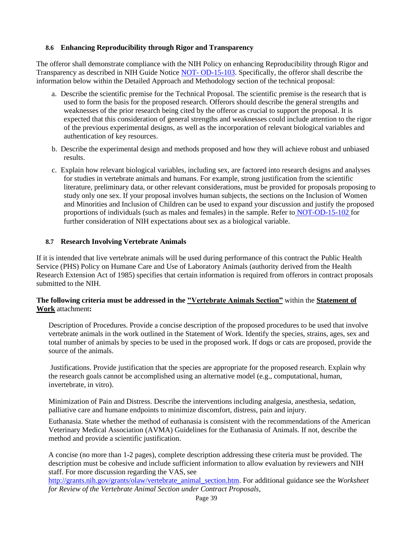#### <span id="page-38-0"></span>**8.6 Enhancing Reproducibility through Rigor and Transparency**

The offeror shall demonstrate compliance with the NIH Policy on enhancing Reproducibility through Rigor and Transparency as described in NIH Guide Notice NOT- [OD-15-103. S](https://grants.nih.gov/grants/guide/notice-files/NOT-OD-15-103.html)pecifically, the offeror shall describe the information below within the Detailed Approach and Methodology section of the technical proposal:

- a. Describe the scientific premise for the Technical Proposal. The scientific premise is the research that is used to form the basis for the proposed research. Offerors should describe the general strengths and weaknesses of the prior research being cited by the offeror as crucial to support the proposal. It is expected that this consideration of general strengths and weaknesses could include attention to the rigor of the previous experimental designs, as well as the incorporation of relevant biological variables and authentication of key resources.
- b. Describe the experimental design and methods proposed and how they will achieve robust and unbiased results.
- c. Explain how relevant biological variables, including sex, are factored into research designs and analyses for studies in vertebrate animals and humans. For example, strong justification from the scientific literature, preliminary data, or other relevant considerations, must be provided for proposals proposing to study only one sex. If your proposal involves human subjects, the sections on the Inclusion of Women and Minorities and Inclusion of Children can be used to expand your discussion and justify the proposed proportions of individuals (such as males and females) in the sample. Refer to [NOT-OD-15-102 f](http://grants.nih.gov/grants/guide/notice-files/NOT-OD-15-102.html)or further consideration of NIH expectations about sex as a biological variable.

### <span id="page-38-1"></span>**8.7 Research Involving Vertebrate Animals**

If it is intended that live vertebrate animals will be used during performance of this contract the Public Health Service (PHS) Policy on Humane Care and Use of Laboratory Animals (authority derived from the Health Research Extension Act of 1985) specifies that certain information is required from offerors in contract proposals submitted to the NIH.

### **The following criteria must be addressed in the "Vertebrate Animals Section"** within the **Statement of Work** attachment**:**

Description of Procedures. Provide a concise description of the proposed procedures to be used that involve vertebrate animals in the work outlined in the Statement of Work. Identify the species, strains, ages, sex and total number of animals by species to be used in the proposed work. If dogs or cats are proposed, provide the source of the animals.

Justifications. Provide justification that the species are appropriate for the proposed research. Explain why the research goals cannot be accomplished using an alternative model (e.g., computational, human, invertebrate, in vitro).

Minimization of Pain and Distress. Describe the interventions including analgesia, anesthesia, sedation, palliative care and humane endpoints to minimize discomfort, distress, pain and injury.

Euthanasia. State whether the method of euthanasia is consistent with the recommendations of the American Veterinary Medical Association (AVMA) Guidelines for the Euthanasia of Animals. If not, describe the method and provide a scientific justification.

A concise (no more than 1-2 pages), complete description addressing these criteria must be provided. The description must be cohesive and include sufficient information to allow evaluation by reviewers and NIH staff. For more discussion regarding the VAS, see

[http://grants.nih.gov/grants/olaw/vertebrate\\_animal\\_section.htm.](http://grants.nih.gov/grants/olaw/vertebrate_animal_section.htm) For additional guidance see the *Worksheet for Review of the Vertebrate Animal Section under Contract Proposals*,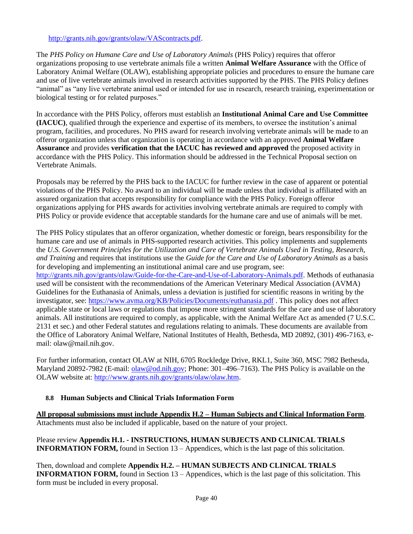#### [http://grants.nih.gov/grants/olaw/VAScontracts.pdf.](http://grants.nih.gov/grants/olaw/VAScontracts.pdf)

The *PHS Policy on Humane Care and Use of Laboratory Animals* (PHS Policy) requires that offeror organizations proposing to use vertebrate animals file a written **Animal Welfare Assurance** with the Office of Laboratory Animal Welfare (OLAW), establishing appropriate policies and procedures to ensure the humane care and use of live vertebrate animals involved in research activities supported by the PHS. The PHS Policy defines "animal" as "any live vertebrate animal used or intended for use in research, research training, experimentation or biological testing or for related purposes."

In accordance with the PHS Policy, offerors must establish an **Institutional Animal Care and Use Committee (IACUC)**, qualified through the experience and expertise of its members, to oversee the institution's animal program, facilities, and procedures. No PHS award for research involving vertebrate animals will be made to an offeror organization unless that organization is operating in accordance with an approved **Animal Welfare Assurance** and provides **verification that the IACUC has reviewed and approved** the proposed activity in accordance with the PHS Policy. This information should be addressed in the Technical Proposal section on Vertebrate Animals.

Proposals may be referred by the PHS back to the IACUC for further review in the case of apparent or potential violations of the PHS Policy. No award to an individual will be made unless that individual is affiliated with an assured organization that accepts responsibility for compliance with the PHS Policy. Foreign offeror organizations applying for PHS awards for activities involving vertebrate animals are required to comply with PHS Policy or provide evidence that acceptable standards for the humane care and use of animals will be met.

The PHS Policy stipulates that an offeror organization, whether domestic or foreign, bears responsibility for the humane care and use of animals in PHS-supported research activities. This policy implements and supplements the *U.S. Government Principles for the Utilization and Care of Vertebrate Animals Used in Testing, Research, and Training* and requires that institutions use the *Guide for the Care and Use of Laboratory Animals* as a basis for developing and implementing an institutional animal care and use program, see:

[http://grants.nih.gov/grants/olaw/Guide-for-the-Care-and-Use-of-Laboratory-Animals.pdf.](http://grants.nih.gov/grants/olaw/Guide-for-the-Care-and-Use-of-Laboratory-Animals.pdf) Methods of euthanasia used will be consistent with the recommendations of the American Veterinary Medical Association (AVMA) Guidelines for the Euthanasia of Animals, unless a deviation is justified for scientific reasons in writing by the investigator, see: <https://www.avma.org/KB/Policies/Documents/euthanasia.pdf> . This policy does not affect applicable state or local laws or regulations that impose more stringent standards for the care and use of laboratory animals. All institutions are required to comply, as applicable, with the Animal Welfare Act as amended (7 U.S.C. 2131 et sec.) and other Federal statutes and regulations relating to animals. These documents are available from the Office of Laboratory Animal Welfare, National Institutes of Health, Bethesda, MD 20892, (301) 496-7163, email: [olaw@mail.nih.gov.](mailto:olaw@mail.nih.gov)

For further information, contact OLAW at NIH, 6705 Rockledge Drive, RKL1, Suite 360, MSC 7982 Bethesda, Maryland 20892-7982 (E-mail: [olaw@od.nih.gov;](mailto:olaw@od.nih.gov) Phone: 301–496–7163). The PHS Policy is available on the OLAW website at: [http://www.grants.nih.gov/grants/olaw/olaw.htm.](http://www.grants.nih.gov/grants/olaw/olaw.htm)

### <span id="page-39-0"></span>**8.8 Human Subjects and Clinical Trials Information Form**

**All proposal submissions must include Appendix H.2 – Human Subjects and Clinical Information Form**. Attachments must also be included if applicable, based on the nature of your project.

Please review **Appendix H.1. - INSTRUCTIONS, HUMAN SUBJECTS AND CLINICAL TRIALS INFORMATION FORM,** found in Section 13 – Appendices, which is the last page of this solicitation.

Then, download and complete **Appendix H.2. – HUMAN SUBJECTS AND CLINICAL TRIALS INFORMATION FORM,** found in Section 13 – Appendices, which is the last page of this solicitation. This form must be included in every proposal.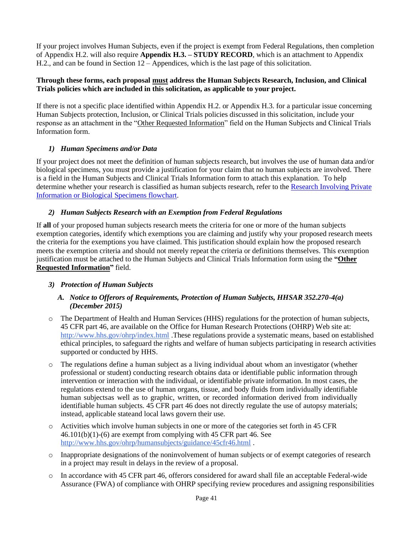If your project involves Human Subjects, even if the project is exempt from Federal Regulations, then completion of Appendix H.2. will also require **Appendix H.3. – STUDY RECORD**, which is an attachment to Appendix H.2., and can be found in Section 12 – Appendices, which is the last page of this solicitation.

### **Through these forms, each proposal must address the Human Subjects Research, Inclusion, and Clinical Trials policies which are included in this solicitation, as applicable to your project.**

If there is not a specific place identified within Appendix H.2. or Appendix H.3. for a particular issue concerning Human Subjects protection, Inclusion, or Clinical Trials policies discussed in this solicitation, include your response as an attachment in the "Other Requested Information" field on the Human Subjects and Clinical Trials Information form.

### *1) Human Specimens and/or Data*

<span id="page-40-0"></span>If your project does not meet the definition of human subjects research, but involves the use of human data and/or biological specimens, you must provide a justification for your claim that no human subjects are involved. There is a field in the Human Subjects and Clinical Trials Information form to attach this explanation. To help determine whether your research is classified as human subjects research, refer to the [Research Involving Private](https://grants.nih.gov/grants/policy/hs/PrivateInfoOrBioSpecimensDecisionChart.pdf) Information or Biological [Specimens flowchart.](https://grants.nih.gov/grants/policy/hs/PrivateInfoOrBioSpecimensDecisionChart.pdf)

### *2) Human Subjects Research with an Exemption from Federal Regulations*

<span id="page-40-1"></span>If **all** of your proposed human subjects research meets the criteria for one or more of the human subjects exemption categories, identify which exemptions you are claiming and justify why your proposed research meets the criteria for the exemptions you have claimed. This justification should explain how the proposed research meets the exemption criteria and should not merely repeat the criteria or definitions themselves. This exemption justification must be attached to the Human Subjects and Clinical Trials Information form using the **"Other Requested Information"** field.

### <span id="page-40-2"></span>*3) Protection of Human Subjects*

### *A. Notice to Offerors of Requirements, Protection of Human Subjects, HHSAR 352.270-4(a) (December 2015)*

- o The Department of Health and Human Services (HHS) regulations for the protection of human subjects, 45 CFR part 46, are available on the Office for Human Research Protections (OHRP) Web site at: <http://www.hhs.gov/ohrp/index.html> .These regulations provide a systematic means, based on established ethical principles, to safeguard the rights and welfare of human subjects participating in research activities supported or conducted by HHS.
- o The regulations define a human subject as a living individual about whom an investigator (whether professional or student) conducting research obtains data or identifiable public information through intervention or interaction with the individual, or identifiable private information. In most cases, the regulations extend to the use of human organs, tissue, and body fluids from individually identifiable human subjectsas well as to graphic, written, or recorded information derived from individually identifiable human subjects. 45 CFR part 46 does not directly regulate the use of autopsy materials; instead, applicable stateand local laws govern their use.
- o Activities which involve human subjects in one or more of the categories set forth in 45 CFR 46.101(b)(1)-(6) are exempt from complying with 45 CFR part 46. See <http://www.hhs.gov/ohrp/humansubjects/guidance/45cfr46.html> .
- o Inappropriate designations of the noninvolvement of human subjects or of exempt categories of research in a project may result in delays in the review of a proposal.
- o In accordance with 45 CFR part 46, offerors considered for award shall file an acceptable Federal-wide Assurance (FWA) of compliance with OHRP specifying review procedures and assigning responsibilities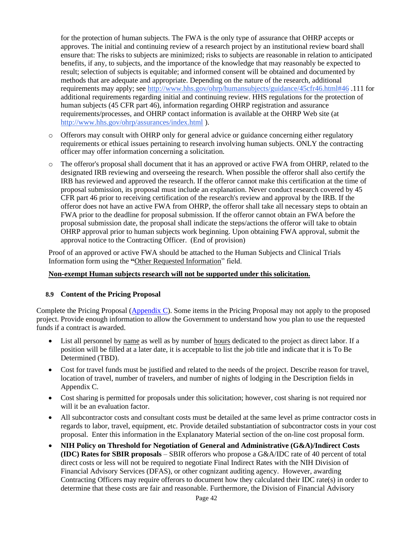for the protection of human subjects. The FWA is the only type of assurance that OHRP accepts or approves. The initial and continuing review of a research project by an institutional review board shall ensure that: The risks to subjects are minimized; risks to subjects are reasonable in relation to anticipated benefits, if any, to subjects, and the importance of the knowledge that may reasonably be expected to result; selection of subjects is equitable; and informed consent will be obtained and documented by methods that are adequate and appropriate. Depending on the nature of the research, additional requirements may apply; see <http://www.hhs.gov/ohrp/humansubjects/guidance/45cfr46.html#46> .111 for additional requirements regarding initial and continuing review. HHS regulations for the protection of human subjects (45 CFR part 46), information regarding OHRP registration and assurance requirements/processes, and OHRP contact information is available at the OHRP Web site (at <http://www.hhs.gov/ohrp/assurances/index.html> ).

- $\circ$  Offerors may consult with OHRP only for general advice or guidance concerning either regulatory requirements or ethical issues pertaining to research involving human subjects. ONLY the contracting officer may offer information concerning a solicitation.
- o The offeror's proposal shall document that it has an approved or active FWA from OHRP, related to the designated IRB reviewing and overseeing the research. When possible the offeror shall also certify the IRB has reviewed and approved the research. If the offeror cannot make this certification at the time of proposal submission, its proposal must include an explanation. Never conduct research covered by 45 CFR part 46 prior to receiving certification of the research's review and approval by the IRB. If the offeror does not have an active FWA from OHRP, the offeror shall take all necessary steps to obtain an FWA prior to the deadline for proposal submission. If the offeror cannot obtain an FWA before the proposal submission date, the proposal shall indicate the steps/actions the offeror will take to obtain OHRP approval prior to human subjects work beginning. Upon obtaining FWA approval, submit the approval notice to the Contracting Officer. (End of provision)

Proof of an approved or active FWA should be attached to the Human Subjects and Clinical Trials Information form using the **"**Other Requested Information" field.

#### **Non-exempt Human subjects research will not be supported under this solicitation.**

#### <span id="page-41-0"></span>**8.9 Content of the Pricing Proposal**

Complete the Pricing Proposal [\(Appendix C\)](#page-49-1). Some items in the Pricing Proposal may not apply to the proposed project. Provide enough information to allow the Government to understand how you plan to use the requested funds if a contract is awarded.

- List all personnel by name as well as by number of hours dedicated to the project as direct labor. If a position will be filled at a later date, it is acceptable to list the job title and indicate that it is To Be Determined (TBD).
- Cost for travel funds must be justified and related to the needs of the project. Describe reason for travel, location of travel, number of travelers, and number of nights of lodging in the Description fields in Appendix C.
- Cost sharing is permitted for proposals under this solicitation; however, cost sharing is not required nor will it be an evaluation factor.
- All subcontractor costs and consultant costs must be detailed at the same level as prime contractor costs in regards to labor, travel, equipment, etc. Provide detailed substantiation of subcontractor costs in your cost proposal. Enter this information in the Explanatory Material section of the on-line cost proposal form.
- **NIH Policy on Threshold for Negotiation of General and Administrative (G&A)/Indirect Costs (IDC) Rates for SBIR proposals** – SBIR offerors who propose a G&A/IDC rate of 40 percent of total direct costs or less will not be required to negotiate Final Indirect Rates with the NIH Division of Financial Advisory Services (DFAS), or other cognizant auditing agency. However, awarding Contracting Officers may require offerors to document how they calculated their IDC rate(s) in order to determine that these costs are fair and reasonable. Furthermore, the Division of Financial Advisory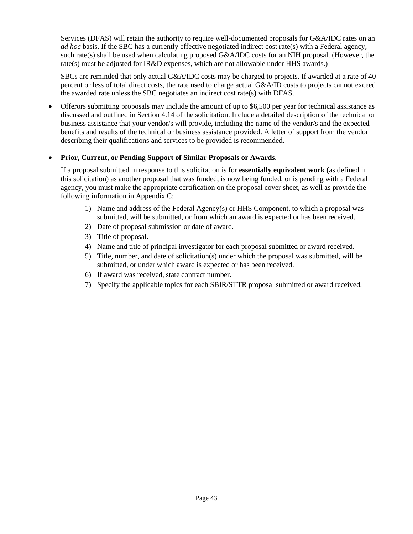Services (DFAS) will retain the authority to require well-documented proposals for G&A/IDC rates on an *ad hoc* basis. If the SBC has a currently effective negotiated indirect cost rate(s) with a Federal agency, such rate(s) shall be used when calculating proposed G&A/IDC costs for an NIH proposal. (However, the rate(s) must be adjusted for IR&D expenses, which are not allowable under HHS awards.)

SBCs are reminded that only actual G&A/IDC costs may be charged to projects. If awarded at a rate of 40 percent or less of total direct costs, the rate used to charge actual G&A/ID costs to projects cannot exceed the awarded rate unless the SBC negotiates an indirect cost rate(s) with DFAS.

• Offerors submitting proposals may include the amount of up to \$6,500 per year for technical assistance as discussed and outlined in Section 4.14 of the solicitation. Include a detailed description of the technical or business assistance that your vendor/s will provide, including the name of the vendor/s and the expected benefits and results of the technical or business assistance provided. A letter of support from the vendor describing their qualifications and services to be provided is recommended.

### • **Prior, Current, or Pending Support of Similar Proposals or Awards**.

If a proposal submitted in response to this solicitation is for **essentially equivalent work** (as defined in this solicitation) as another proposal that was funded, is now being funded, or is pending with a Federal agency, you must make the appropriate certification on the proposal cover sheet, as well as provide the following information in Appendix C:

- 1) Name and address of the Federal Agency(s) or HHS Component, to which a proposal was submitted, will be submitted, or from which an award is expected or has been received.
- 2) Date of proposal submission or date of award.
- 3) Title of proposal.
- 4) Name and title of principal investigator for each proposal submitted or award received.
- 5) Title, number, and date of solicitation(s) under which the proposal was submitted, will be submitted, or under which award is expected or has been received.
- 6) If award was received, state contract number.
- 7) Specify the applicable topics for each SBIR/STTR proposal submitted or award received.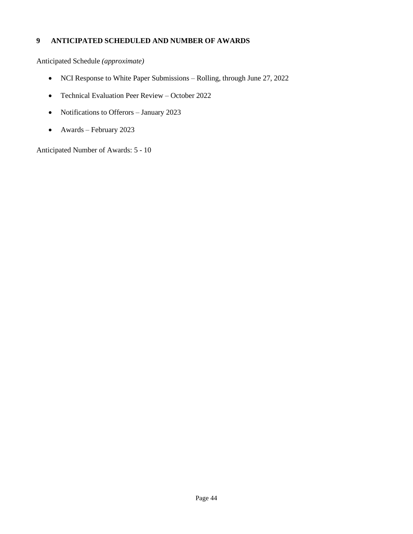# <span id="page-43-0"></span>**9 ANTICIPATED SCHEDULED AND NUMBER OF AWARDS**

Anticipated Schedule *(approximate)*

- NCI Response to White Paper Submissions Rolling, through June 27, 2022
- Technical Evaluation Peer Review October 2022
- Notifications to Offerors January 2023
- Awards February 2023

Anticipated Number of Awards: 5 - 10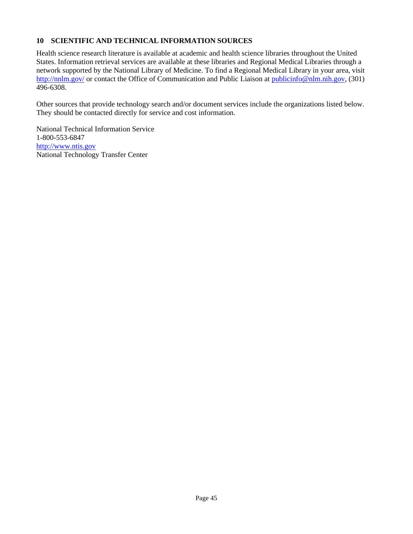### <span id="page-44-0"></span>**10 SCIENTIFIC AND TECHNICAL INFORMATION SOURCES**

Health science research literature is available at academic and health science libraries throughout the United States. Information retrieval services are available at these libraries and Regional Medical Libraries through a network supported by the National Library of Medicine. To find a Regional Medical Library in your area, visit <http://nnlm.gov/> or contact the Office of Communication and Public Liaison at [publicinfo@nlm.nih.gov, \(](mailto:publicinfo@nlm.nih.gov)301) 496-6308.

Other sources that provide technology search and/or document services include the organizations listed below. They should be contacted directly for service and cost information.

National Technical Information Service 1-800-553-6847 [http://www.ntis.gov](http://www.ntis.gov/) National Technology Transfer Center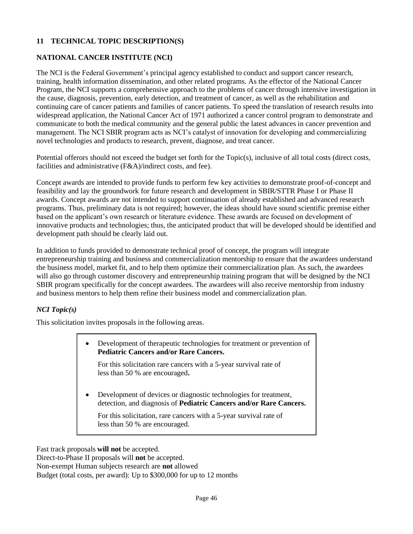# <span id="page-45-0"></span>**11 TECHNICAL TOPIC DESCRIPTION(S)**

# <span id="page-45-1"></span>**NATIONAL CANCER INSTITUTE (NCI)**

The NCI is the Federal Government's principal agency established to conduct and support cancer research, training, health information dissemination, and other related programs. As the effector of the National Cancer Program, the NCI supports a comprehensive approach to the problems of cancer through intensive investigation in the cause, diagnosis, prevention, early detection, and treatment of cancer, as well as the rehabilitation and continuing care of cancer patients and families of cancer patients. To speed the translation of research results into widespread application, the National Cancer Act of 1971 authorized a cancer control program to demonstrate and communicate to both the medical community and the general public the latest advances in cancer prevention and management. The NCI SBIR program acts as NCI's catalyst of innovation for developing and commercializing novel technologies and products to research, prevent, diagnose, and treat cancer.

Potential offerors should not exceed the budget set forth for the Topic(s), inclusive of all total costs (direct costs, facilities and administrative (F&A)/indirect costs, and fee).

Concept awards are intended to provide funds to perform few key activities to demonstrate proof-of-concept and feasibility and lay the groundwork for future research and development in SBIR/STTR Phase I or Phase II awards. Concept awards are not intended to support continuation of already established and advanced research programs. Thus, preliminary data is not required; however, the ideas should have sound scientific premise either based on the applicant's own research or literature evidence. These awards are focused on development of innovative products and technologies; thus, the anticipated product that will be developed should be identified and development path should be clearly laid out.

In addition to funds provided to demonstrate technical proof of concept, the program will integrate entrepreneurship training and business and commercialization mentorship to ensure that the awardees understand the business model, market fit, and to help them optimize their commercialization plan. As such, the awardees will also go through customer discovery and entrepreneurship training program that will be designed by the NCI SBIR program specifically for the concept awardees. The awardees will also receive mentorship from industry and business mentors to help them refine their business model and commercialization plan.

### *NCI Topic(s)*

This solicitation invites proposals in the following areas.

| Development of therapeutic technologies for treatment or prevention of |
|------------------------------------------------------------------------|
| <b>Pediatric Cancers and/or Rare Cancers.</b>                          |

For this solicitation rare cancers with a 5-year survival rate of less than 50 % are encouraged**.**

• Development of devices or diagnostic technologies for treatment, detection, and diagnosis of **Pediatric Cancers and/or Rare Cancers.**

For this solicitation, rare cancers with a 5-year survival rate of less than 50 % are encouraged.

Fast track proposals **will not** be accepted.

Direct-to-Phase II proposals will **not** be accepted. Non-exempt Human subjects research are **not** allowed Budget (total costs, per award): Up to \$300,000 for up to 12 months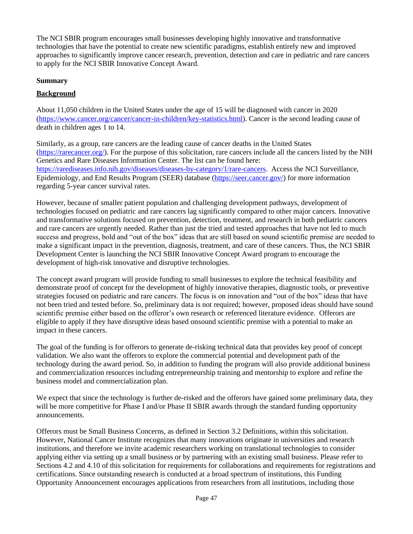The NCI SBIR program encourages small businesses developing highly innovative and transformative technologies that have the potential to create new scientific paradigms, establish entirely new and improved approaches to significantly improve cancer research, prevention, detection and care in pediatric and rare cancers to apply for the NCI SBIR Innovative Concept Award.

### **Summary**

# **Background**

About 11,050 children in the United States under the age of 15 will be diagnosed with cancer in 2020 [\(https://www.cancer.org/cancer/cancer-in-children/key-statistics.html\)](https://www.cancer.org/cancer/cancer-in-children/key-statistics.html). Cancer is the second leading cause of death in children ages 1 to 14.

Similarly, as a group, rare cancers are the leading cause of cancer deaths in the United States [\(https://rarecancer.org/\)](https://rarecancer.org/). For the purpose of this solicitation, rare cancers include all the cancers listed by the NIH Genetics and Rare Diseases Information Center. The list can be found here: [https://rarediseases.info.nih.gov/diseases/diseases-by-category/1/rare-cancers.](https://rarediseases.info.nih.gov/diseases/diseases-by-category/1/rare-cancers) Access the NCI Surveillance, Epidemiology, and End Results Program (SEER) database [\(https://seer.cancer.gov/\)](https://seer.cancer.gov/) for more information regarding 5-year cancer survival rates.

However, because of smaller patient population and challenging development pathways, development of technologies focused on pediatric and rare cancers lag significantly compared to other major cancers. Innovative and transformative solutions focused on prevention, detection, treatment, and research in both pediatric cancers and rare cancers are urgently needed. Rather than just the tried and tested approaches that have not led to much success and progress, bold and "out of the box" ideas that are still based on sound scientific premise are needed to make a significant impact in the prevention, diagnosis, treatment, and care of these cancers. Thus, the NCI SBIR Development Center is launching the NCI SBIR Innovative Concept Award program to encourage the development of high-risk innovative and disruptive technologies.

The concept award program will provide funding to small businesses to explore the technical feasibility and demonstrate proof of concept for the development of highly innovative therapies, diagnostic tools, or preventive strategies focused on pediatric and rare cancers. The focus is on innovation and "out of the box" ideas that have not been tried and tested before. So, preliminary data is not required; however, proposed ideas should have sound scientific premise either based on the offeror's own research or referenced literature evidence. Offerors are eligible to apply if they have disruptive ideas based onsound scientific premise with a potential to make an impact in these cancers.

The goal of the funding is for offerors to generate de-risking technical data that provides key proof of concept validation. We also want the offerors to explore the commercial potential and development path of the technology during the award period. So, in addition to funding the program will also provide additional business and commercialization resources including entrepreneurship training and mentorship to explore and refine the business model and commercialization plan.

We expect that since the technology is further de-risked and the offerors have gained some preliminary data, they will be more competitive for Phase I and/or Phase II SBIR awards through the standard funding opportunity announcements.

Offerors must be Small Business Concerns, as defined in Section 3.2 Definitions, within this solicitation. However, National Cancer Institute recognizes that many innovations originate in universities and research institutions, and therefore we invite academic researchers working on translational technologies to consider applying either via setting up a small business or by partnering with an existing small business. Please refer to Sections 4.2 and 4.10 of this solicitation for requirements for collaborations and requirements for registrations and certifications. Since outstanding research is conducted at a broad spectrum of institutions, this Funding Opportunity Announcement encourages applications from researchers from all institutions, including those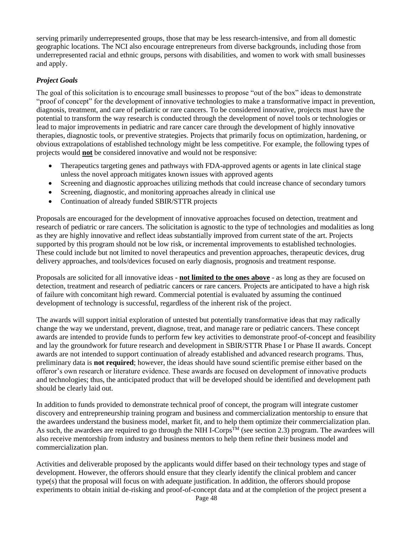serving primarily underrepresented groups, those that may be less research-intensive, and from all domestic geographic locations. The NCI also encourage entrepreneurs from diverse backgrounds, including those from underrepresented racial and ethnic groups, persons with disabilities, and women to work with small businesses and apply.

### *Project Goals*

The goal of this solicitation is to encourage small businesses to propose "out of the box" ideas to demonstrate "proof of concept" for the development of innovative technologies to make a transformative impact in prevention, diagnosis, treatment, and care of pediatric or rare cancers. To be considered innovative, projects must have the potential to transform the way research is conducted through the development of novel tools or technologies or lead to major improvements in pediatric and rare cancer care through the development of highly innovative therapies, diagnostic tools, or preventive strategies. Projects that primarily focus on optimization, hardening, or obvious extrapolations of established technology might be less competitive. For example, the following types of projects would **not** be considered innovative and would not be responsive:

- Therapeutics targeting genes and pathways with FDA-approved agents or agents in late clinical stage unless the novel approach mitigates known issues with approved agents
- Screening and diagnostic approaches utilizing methods that could increase chance of secondary tumors
- Screening, diagnostic, and monitoring approaches already in clinical use
- Continuation of already funded SBIR/STTR projects

Proposals are encouraged for the development of innovative approaches focused on detection, treatment and research of pediatric or rare cancers. The solicitation is agnostic to the type of technologies and modalities as long as they are highly innovative and reflect ideas substantially improved from current state of the art. Projects supported by this program should not be low risk, or incremental improvements to established technologies. These could include but not limited to novel therapeutics and prevention approaches, therapeutic devices, drug delivery approaches, and tools/devices focused on early diagnosis, prognosis and treatment response.

Proposals are solicited for all innovative ideas - **not limited to the ones above** - as long as they are focused on detection, treatment and research of pediatric cancers or rare cancers. Projects are anticipated to have a high risk of failure with concomitant high reward. Commercial potential is evaluated by assuming the continued development of technology is successful, regardless of the inherent risk of the project.

The awards will support initial exploration of untested but potentially transformative ideas that may radically change the way we understand, prevent, diagnose, treat, and manage rare or pediatric cancers. These concept awards are intended to provide funds to perform few key activities to demonstrate proof-of-concept and feasibility and lay the groundwork for future research and development in SBIR/STTR Phase I or Phase II awards. Concept awards are not intended to support continuation of already established and advanced research programs. Thus, preliminary data is **not required**; however, the ideas should have sound scientific premise either based on the offeror's own research or literature evidence. These awards are focused on development of innovative products and technologies; thus, the anticipated product that will be developed should be identified and development path should be clearly laid out.

In addition to funds provided to demonstrate technical proof of concept, the program will integrate customer discovery and entrepreneurship training program and business and commercialization mentorship to ensure that the awardees understand the business model, market fit, and to help them optimize their commercialization plan. As such, the awardees are required to go through the NIH I-Corps<sup>TM</sup> (see section 2.3) program. The awardees will also receive mentorship from industry and business mentors to help them refine their business model and commercialization plan.

Activities and deliverable proposed by the applicants would differ based on their technology types and stage of development. However, the offerors should ensure that they clearly identify the clinical problem and cancer type(s) that the proposal will focus on with adequate justification. In addition, the offerors should propose experiments to obtain initial de-risking and proof-of-concept data and at the completion of the project present a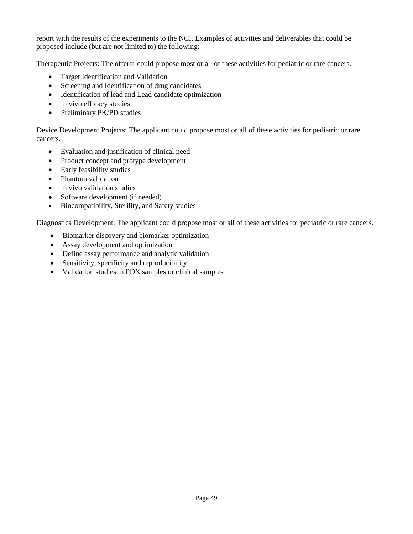report with the results of the experiments to the NCI. Examples of activities and deliverables that could be proposed include (but are not limited to) the following:

Therapeutic Projects: The offeror could propose most or all of these activities for pediatric or rare cancers.

- Target Identification and Validation
- Screening and Identification of drug candidates
- Identification of lead and Lead candidate optimization
- In vivo efficacy studies
- Preliminary PK/PD studies

Device Development Projects: The applicant could propose most or all of these activities for pediatric or rare cancers.

- Evaluation and justification of clinical need
- Product concept and protype development
- Early feasibility studies
- Phantom validation
- In vivo validation studies
- Software development (if needed)
- Biocompatibility, Sterility, and Safety studies

Diagnostics Development: The applicant could propose most or all of these activities for pediatric or rare cancers.

- Biomarker discovery and biomarker optimization
- Assay development and optimization
- Define assay performance and analytic validation
- Sensitivity, specificity and reproducibility
- Validation studies in PDX samples or clinical samples